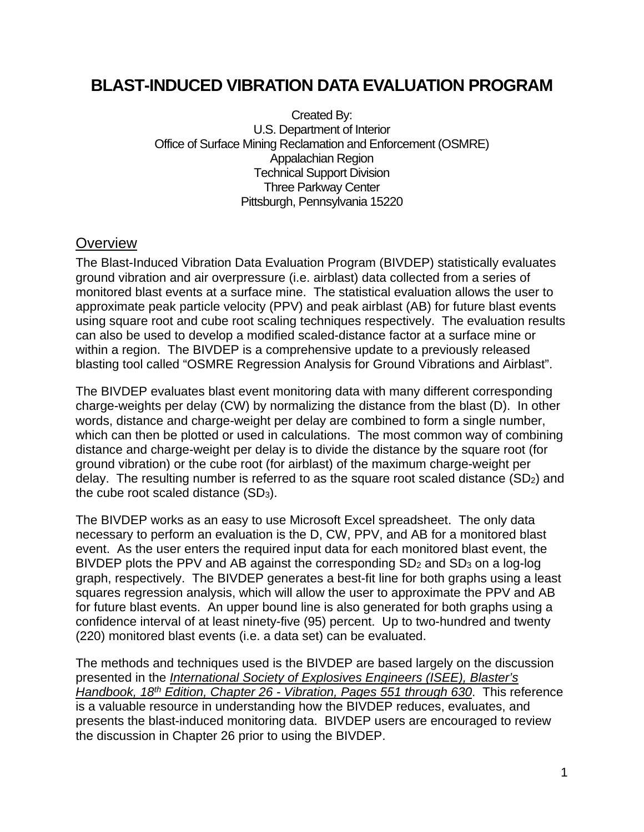# **BLAST-INDUCED VIBRATION DATA EVALUATION PROGRAM**

Created By: U.S. Department of Interior Office of Surface Mining Reclamation and Enforcement (OSMRE) Appalachian Region Technical Support Division Three Parkway Center Pittsburgh, Pennsylvania 15220

## **Overview**

The Blast-Induced Vibration Data Evaluation Program (BIVDEP) statistically evaluates ground vibration and air overpressure (i.e. airblast) data collected from a series of monitored blast events at a surface mine. The statistical evaluation allows the user to approximate peak particle velocity (PPV) and peak airblast (AB) for future blast events using square root and cube root scaling techniques respectively. The evaluation results can also be used to develop a modified scaled-distance factor at a surface mine or within a region. The BIVDEP is a comprehensive update to a previously released blasting tool called "OSMRE Regression Analysis for Ground Vibrations and Airblast".

The BIVDEP evaluates blast event monitoring data with many different corresponding charge-weights per delay (CW) by normalizing the distance from the blast (D). In other words, distance and charge-weight per delay are combined to form a single number, which can then be plotted or used in calculations. The most common way of combining distance and charge-weight per delay is to divide the distance by the square root (for ground vibration) or the cube root (for airblast) of the maximum charge-weight per delay. The resulting number is referred to as the square root scaled distance  $(SD<sub>2</sub>)$  and the cube root scaled distance (SD3).

The BIVDEP works as an easy to use Microsoft Excel spreadsheet. The only data necessary to perform an evaluation is the D, CW, PPV, and AB for a monitored blast event. As the user enters the required input data for each monitored blast event, the BIVDEP plots the PPV and AB against the corresponding SD<sub>2</sub> and SD<sub>3</sub> on a log-log graph, respectively. The BIVDEP generates a best-fit line for both graphs using a least squares regression analysis, which will allow the user to approximate the PPV and AB for future blast events. An upper bound line is also generated for both graphs using a confidence interval of at least ninety-five (95) percent. Up to two-hundred and twenty (220) monitored blast events (i.e. a data set) can be evaluated.

The methods and techniques used is the BIVDEP are based largely on the discussion presented in the *International Society of Explosives Engineers (ISEE), Blaster's Handbook, 18th Edition, Chapter 26 - Vibration, Pages 551 through 630*. This reference is a valuable resource in understanding how the BIVDEP reduces, evaluates, and presents the blast-induced monitoring data. BIVDEP users are encouraged to review the discussion in Chapter 26 prior to using the BIVDEP.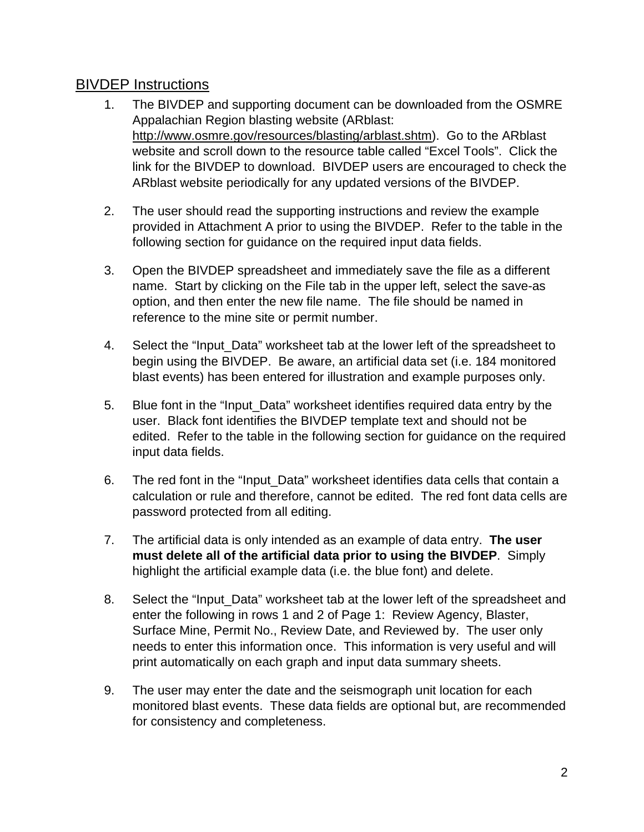## BIVDEP Instructions

- 1. The BIVDEP and supporting document can be downloaded from the OSMRE Appalachian Region blasting website (ARblast: http://www.osmre.gov/resources/blasting/arblast.shtm). Go to the ARblast website and scroll down to the resource table called "Excel Tools". Click the link for the BIVDEP to download. BIVDEP users are encouraged to check the ARblast website periodically for any updated versions of the BIVDEP.
- 2. The user should read the supporting instructions and review the example provided in Attachment A prior to using the BIVDEP. Refer to the table in the following section for guidance on the required input data fields.
- 3. Open the BIVDEP spreadsheet and immediately save the file as a different name. Start by clicking on the File tab in the upper left, select the save-as option, and then enter the new file name. The file should be named in reference to the mine site or permit number.
- 4. Select the "Input\_Data" worksheet tab at the lower left of the spreadsheet to begin using the BIVDEP. Be aware, an artificial data set (i.e. 184 monitored blast events) has been entered for illustration and example purposes only.
- 5. Blue font in the "Input\_Data" worksheet identifies required data entry by the user. Black font identifies the BIVDEP template text and should not be edited. Refer to the table in the following section for guidance on the required input data fields.
- 6. The red font in the "Input\_Data" worksheet identifies data cells that contain a calculation or rule and therefore, cannot be edited. The red font data cells are password protected from all editing.
- 7. The artificial data is only intended as an example of data entry. **The user must delete all of the artificial data prior to using the BIVDEP**. Simply highlight the artificial example data (i.e. the blue font) and delete.
- 8. Select the "Input\_Data" worksheet tab at the lower left of the spreadsheet and enter the following in rows 1 and 2 of Page 1: Review Agency, Blaster, Surface Mine, Permit No., Review Date, and Reviewed by. The user only needs to enter this information once. This information is very useful and will print automatically on each graph and input data summary sheets.
- 9. The user may enter the date and the seismograph unit location for each monitored blast events. These data fields are optional but, are recommended for consistency and completeness.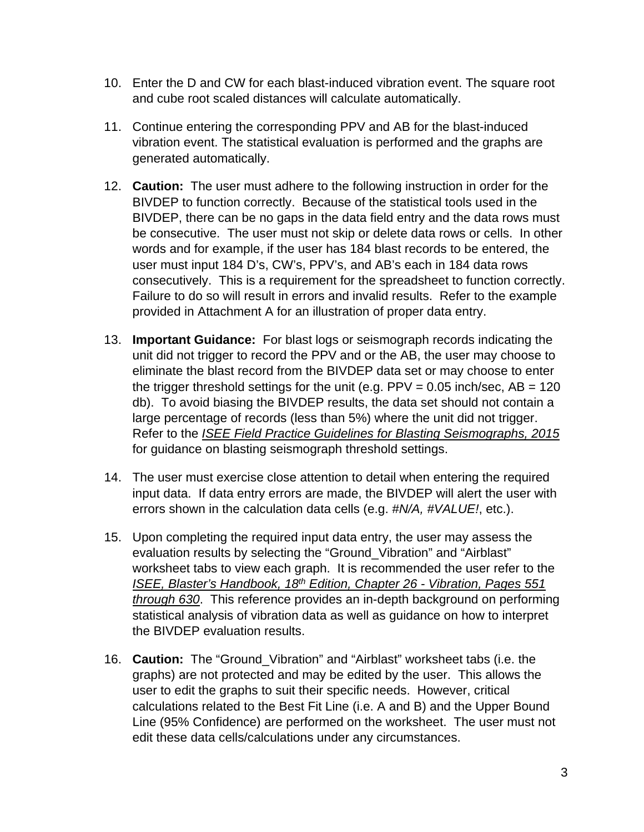- 10. Enter the D and CW for each blast-induced vibration event. The square root and cube root scaled distances will calculate automatically.
- 11. Continue entering the corresponding PPV and AB for the blast-induced vibration event. The statistical evaluation is performed and the graphs are generated automatically.
- 12. **Caution:** The user must adhere to the following instruction in order for the BIVDEP to function correctly. Because of the statistical tools used in the BIVDEP, there can be no gaps in the data field entry and the data rows must be consecutive. The user must not skip or delete data rows or cells. In other words and for example, if the user has 184 blast records to be entered, the user must input 184 D's, CW's, PPV's, and AB's each in 184 data rows consecutively. This is a requirement for the spreadsheet to function correctly. Failure to do so will result in errors and invalid results. Refer to the example provided in Attachment A for an illustration of proper data entry.
- 13. **Important Guidance:** For blast logs or seismograph records indicating the unit did not trigger to record the PPV and or the AB, the user may choose to eliminate the blast record from the BIVDEP data set or may choose to enter the trigger threshold settings for the unit (e.g.  $PPV = 0.05$  inch/sec,  $AB = 120$ db). To avoid biasing the BIVDEP results, the data set should not contain a large percentage of records (less than 5%) where the unit did not trigger. Refer to the *ISEE Field Practice Guidelines for Blasting Seismographs, 2015* for guidance on blasting seismograph threshold settings.
- 14. The user must exercise close attention to detail when entering the required input data. If data entry errors are made, the BIVDEP will alert the user with errors shown in the calculation data cells (e.g. *#N/A, #VALUE!*, etc.).
- 15. Upon completing the required input data entry, the user may assess the evaluation results by selecting the "Ground\_Vibration" and "Airblast" worksheet tabs to view each graph. It is recommended the user refer to the *ISEE, Blaster's Handbook, 18th Edition, Chapter 26 - Vibration, Pages 551 through 630*. This reference provides an in-depth background on performing statistical analysis of vibration data as well as guidance on how to interpret the BIVDEP evaluation results.
- 16. **Caution:** The "Ground\_Vibration" and "Airblast" worksheet tabs (i.e. the graphs) are not protected and may be edited by the user. This allows the user to edit the graphs to suit their specific needs. However, critical calculations related to the Best Fit Line (i.e. A and B) and the Upper Bound Line (95% Confidence) are performed on the worksheet. The user must not edit these data cells/calculations under any circumstances.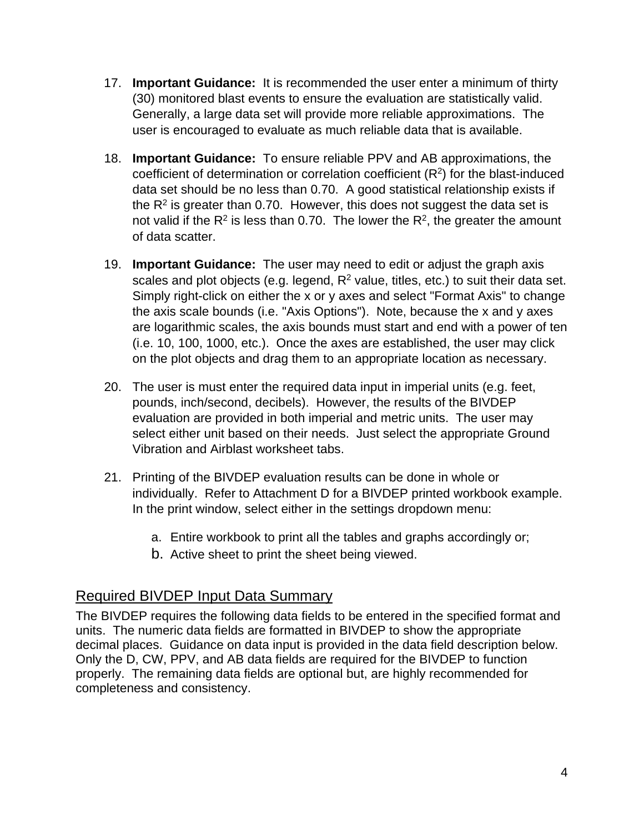- 17. **Important Guidance:** It is recommended the user enter a minimum of thirty (30) monitored blast events to ensure the evaluation are statistically valid. Generally, a large data set will provide more reliable approximations. The user is encouraged to evaluate as much reliable data that is available.
- 18. **Important Guidance:** To ensure reliable PPV and AB approximations, the coefficient of determination or correlation coefficient (R2) for the blast-induced data set should be no less than 0.70. A good statistical relationship exists if the  $R<sup>2</sup>$  is greater than 0.70. However, this does not suggest the data set is not valid if the  $R^2$  is less than 0.70. The lower the  $R^2$ , the greater the amount of data scatter.
- 19. **Important Guidance:** The user may need to edit or adjust the graph axis scales and plot objects (e.g. legend,  $R^2$  value, titles, etc.) to suit their data set. Simply right-click on either the x or y axes and select "Format Axis" to change the axis scale bounds (i.e. "Axis Options"). Note, because the x and y axes are logarithmic scales, the axis bounds must start and end with a power of ten (i.e. 10, 100, 1000, etc.). Once the axes are established, the user may click on the plot objects and drag them to an appropriate location as necessary.
- 20. The user is must enter the required data input in imperial units (e.g. feet, pounds, inch/second, decibels). However, the results of the BIVDEP evaluation are provided in both imperial and metric units. The user may select either unit based on their needs. Just select the appropriate Ground Vibration and Airblast worksheet tabs.
- 21. Printing of the BIVDEP evaluation results can be done in whole or individually. Refer to Attachment D for a BIVDEP printed workbook example. In the print window, select either in the settings dropdown menu:
	- a. Entire workbook to print all the tables and graphs accordingly or;
	- b. Active sheet to print the sheet being viewed.

## Required BIVDEP Input Data Summary

The BIVDEP requires the following data fields to be entered in the specified format and units. The numeric data fields are formatted in BIVDEP to show the appropriate decimal places. Guidance on data input is provided in the data field description below. Only the D, CW, PPV, and AB data fields are required for the BIVDEP to function properly. The remaining data fields are optional but, are highly recommended for completeness and consistency.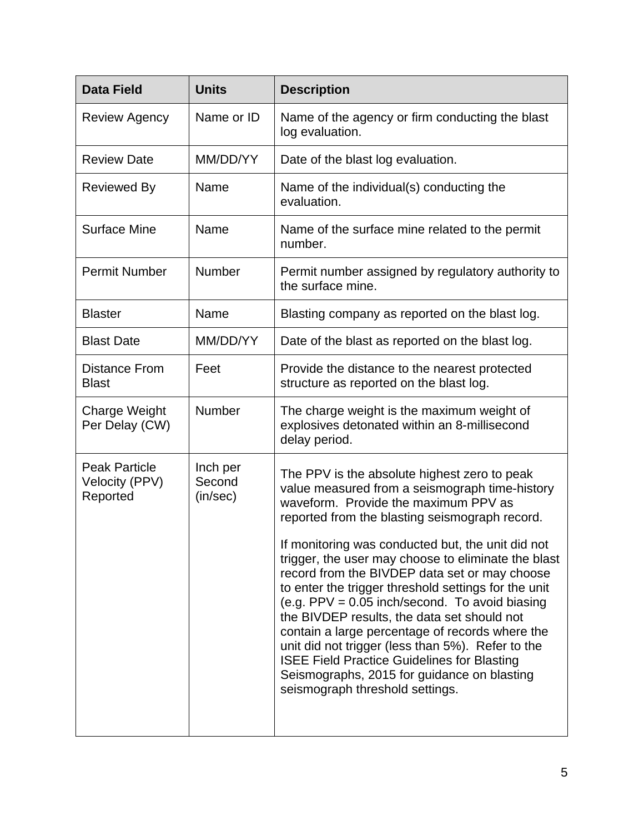| <b>Data Field</b>                                  | <b>Units</b>                   | <b>Description</b>                                                                                                                                                                                                                                                                                                                                                                                                                                                                                              |
|----------------------------------------------------|--------------------------------|-----------------------------------------------------------------------------------------------------------------------------------------------------------------------------------------------------------------------------------------------------------------------------------------------------------------------------------------------------------------------------------------------------------------------------------------------------------------------------------------------------------------|
| <b>Review Agency</b>                               | Name or ID                     | Name of the agency or firm conducting the blast<br>log evaluation.                                                                                                                                                                                                                                                                                                                                                                                                                                              |
| <b>Review Date</b>                                 | MM/DD/YY                       | Date of the blast log evaluation.                                                                                                                                                                                                                                                                                                                                                                                                                                                                               |
| <b>Reviewed By</b>                                 | Name                           | Name of the individual(s) conducting the<br>evaluation.                                                                                                                                                                                                                                                                                                                                                                                                                                                         |
| <b>Surface Mine</b>                                | Name                           | Name of the surface mine related to the permit<br>number.                                                                                                                                                                                                                                                                                                                                                                                                                                                       |
| <b>Permit Number</b>                               | Number                         | Permit number assigned by regulatory authority to<br>the surface mine.                                                                                                                                                                                                                                                                                                                                                                                                                                          |
| <b>Blaster</b>                                     | Name                           | Blasting company as reported on the blast log.                                                                                                                                                                                                                                                                                                                                                                                                                                                                  |
| <b>Blast Date</b>                                  | MM/DD/YY                       | Date of the blast as reported on the blast log.                                                                                                                                                                                                                                                                                                                                                                                                                                                                 |
| <b>Distance From</b><br><b>Blast</b>               | Feet                           | Provide the distance to the nearest protected<br>structure as reported on the blast log.                                                                                                                                                                                                                                                                                                                                                                                                                        |
| <b>Charge Weight</b><br>Per Delay (CW)             | <b>Number</b>                  | The charge weight is the maximum weight of<br>explosives detonated within an 8-millisecond<br>delay period.                                                                                                                                                                                                                                                                                                                                                                                                     |
| <b>Peak Particle</b><br>Velocity (PPV)<br>Reported | Inch per<br>Second<br>(in/sec) | The PPV is the absolute highest zero to peak<br>value measured from a seismograph time-history<br>waveform. Provide the maximum PPV as<br>reported from the blasting seismograph record.<br>If monitoring was conducted but, the unit did not                                                                                                                                                                                                                                                                   |
|                                                    |                                | trigger, the user may choose to eliminate the blast<br>record from the BIVDEP data set or may choose<br>to enter the trigger threshold settings for the unit<br>(e.g. PPV = $0.05$ inch/second. To avoid biasing<br>the BIVDEP results, the data set should not<br>contain a large percentage of records where the<br>unit did not trigger (less than 5%). Refer to the<br><b>ISEE Field Practice Guidelines for Blasting</b><br>Seismographs, 2015 for guidance on blasting<br>seismograph threshold settings. |
|                                                    |                                |                                                                                                                                                                                                                                                                                                                                                                                                                                                                                                                 |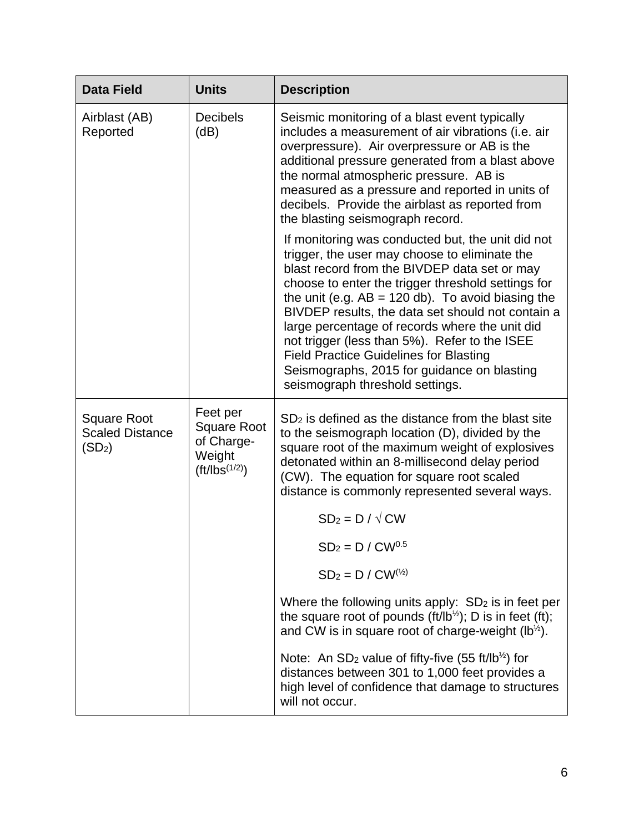| <b>Data Field</b>                                                  | <b>Units</b>                                                                 | <b>Description</b>                                                                                                                                                                                                                                                                                                                                                                                                                                                                                                                                         |
|--------------------------------------------------------------------|------------------------------------------------------------------------------|------------------------------------------------------------------------------------------------------------------------------------------------------------------------------------------------------------------------------------------------------------------------------------------------------------------------------------------------------------------------------------------------------------------------------------------------------------------------------------------------------------------------------------------------------------|
| Airblast (AB)<br>Reported                                          | <b>Decibels</b><br>(dB)                                                      | Seismic monitoring of a blast event typically<br>includes a measurement of air vibrations (i.e. air<br>overpressure). Air overpressure or AB is the<br>additional pressure generated from a blast above<br>the normal atmospheric pressure. AB is<br>measured as a pressure and reported in units of<br>decibels. Provide the airblast as reported from<br>the blasting seismograph record.                                                                                                                                                                |
|                                                                    |                                                                              | If monitoring was conducted but, the unit did not<br>trigger, the user may choose to eliminate the<br>blast record from the BIVDEP data set or may<br>choose to enter the trigger threshold settings for<br>the unit (e.g. $AB = 120$ db). To avoid biasing the<br>BIVDEP results, the data set should not contain a<br>large percentage of records where the unit did<br>not trigger (less than 5%). Refer to the ISEE<br><b>Field Practice Guidelines for Blasting</b><br>Seismographs, 2015 for guidance on blasting<br>seismograph threshold settings. |
| <b>Square Root</b><br><b>Scaled Distance</b><br>(SD <sub>2</sub> ) | Feet per<br><b>Square Root</b><br>of Charge-<br>Weight<br>$(ft/1bs^{(1/2)})$ | SD <sub>2</sub> is defined as the distance from the blast site<br>to the seismograph location (D), divided by the<br>square root of the maximum weight of explosives<br>detonated within an 8-millisecond delay period<br>(CW). The equation for square root scaled<br>distance is commonly represented several ways.                                                                                                                                                                                                                                      |
|                                                                    |                                                                              | $SD_2 = D / \sqrt{CW}$                                                                                                                                                                                                                                                                                                                                                                                                                                                                                                                                     |
|                                                                    |                                                                              | $SD2 = D / CW0.5$                                                                                                                                                                                                                                                                                                                                                                                                                                                                                                                                          |
|                                                                    |                                                                              | $SD_2 = D / CW^{(\frac{1}{2})}$                                                                                                                                                                                                                                                                                                                                                                                                                                                                                                                            |
|                                                                    |                                                                              | Where the following units apply: $SD2$ is in feet per<br>the square root of pounds (ft/lb <sup>1/2</sup> ); D is in feet (ft);<br>and CW is in square root of charge-weight ( $lb^{1/2}$ ).                                                                                                                                                                                                                                                                                                                                                                |
|                                                                    |                                                                              | Note: An SD <sub>2</sub> value of fifty-five (55 ft/lb <sup>1/2</sup> ) for<br>distances between 301 to 1,000 feet provides a<br>high level of confidence that damage to structures<br>will not occur.                                                                                                                                                                                                                                                                                                                                                     |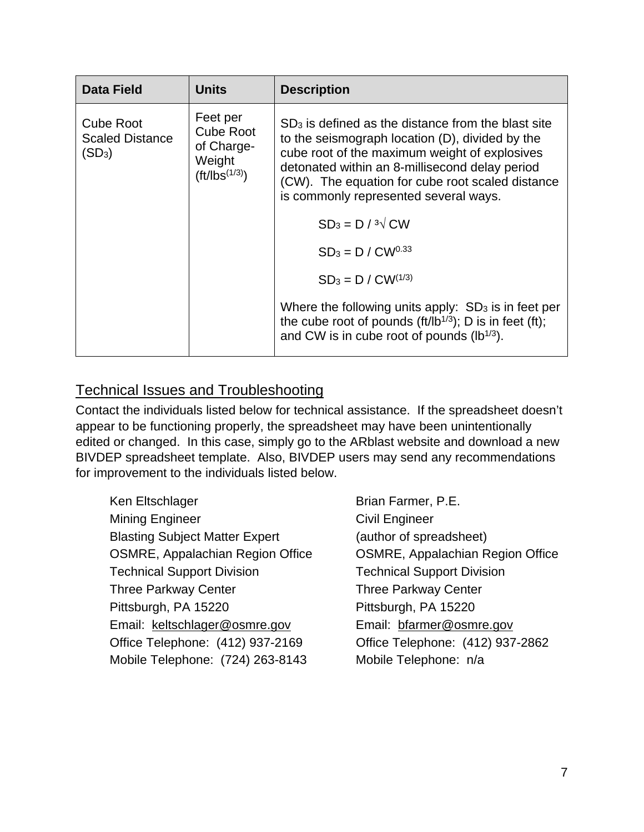| <b>Data Field</b>                                      | <b>Units</b>                                                               | <b>Description</b>                                                                                                                                                                                                                                                                                      |
|--------------------------------------------------------|----------------------------------------------------------------------------|---------------------------------------------------------------------------------------------------------------------------------------------------------------------------------------------------------------------------------------------------------------------------------------------------------|
| <b>Cube Root</b><br><b>Scaled Distance</b><br>$(SD_3)$ | Feet per<br><b>Cube Root</b><br>of Charge-<br>Weight<br>$(ft/1bs^{(1/3)})$ | $SD3$ is defined as the distance from the blast site<br>to the seismograph location (D), divided by the<br>cube root of the maximum weight of explosives<br>detonated within an 8-millisecond delay period<br>(CW). The equation for cube root scaled distance<br>is commonly represented several ways. |
|                                                        |                                                                            | $SD_3 = D / 3\sqrt{C}W$                                                                                                                                                                                                                                                                                 |
|                                                        |                                                                            | $SD_3 = D / CW^{0.33}$                                                                                                                                                                                                                                                                                  |
|                                                        |                                                                            | $SD_3 = D / CW^{(1/3)}$                                                                                                                                                                                                                                                                                 |
|                                                        |                                                                            | Where the following units apply: $SD3$ is in feet per<br>the cube root of pounds $(ft/lb^{1/3})$ ; D is in feet (ft);<br>and CW is in cube root of pounds (lb <sup>1/3</sup> ).                                                                                                                         |

## Technical Issues and Troubleshooting

Contact the individuals listed below for technical assistance. If the spreadsheet doesn't appear to be functioning properly, the spreadsheet may have been unintentionally edited or changed. In this case, simply go to the ARblast website and download a new BIVDEP spreadsheet template. Also, BIVDEP users may send any recommendations for improvement to the individuals listed below.

- Ken Eltschlager Brian Farmer, P.E. Mining Engineer **Civil Engineer** Blasting Subject Matter Expert (author of spreadsheet) OSMRE, Appalachian Region Office OSMRE, Appalachian Region Office Technical Support Division Technical Support Division Three Parkway Center Three Parkway Center Pittsburgh, PA 15220 Pittsburgh, PA 15220 Email: keltschlager@osmre.gov Email: bfarmer@osmre.gov Office Telephone: (412) 937-2169 Office Telephone: (412) 937-2862 Mobile Telephone: (724) 263-8143 Mobile Telephone: n/a
-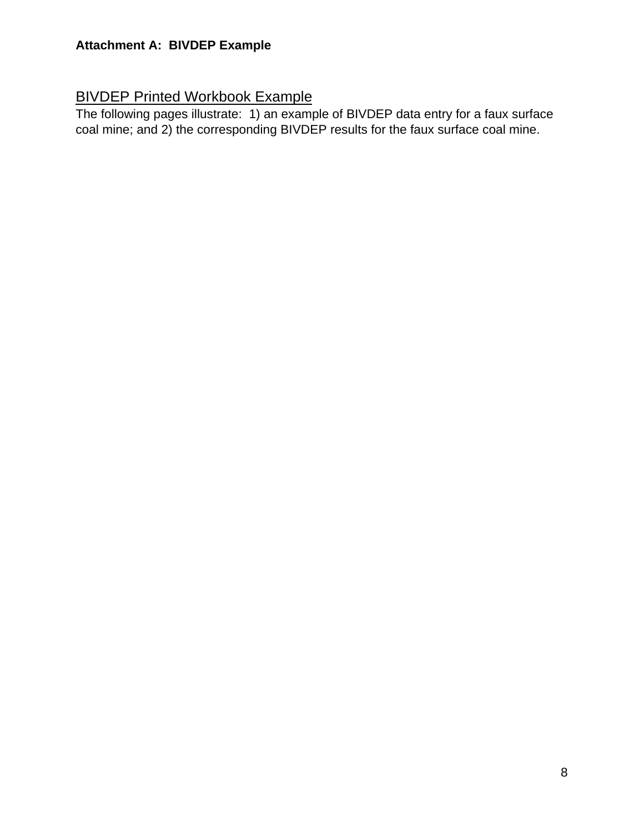## **Attachment A: BIVDEP Example**

## BIVDEP Printed Workbook Example

The following pages illustrate: 1) an example of BIVDEP data entry for a faux surface coal mine; and 2) the corresponding BIVDEP results for the faux surface coal mine.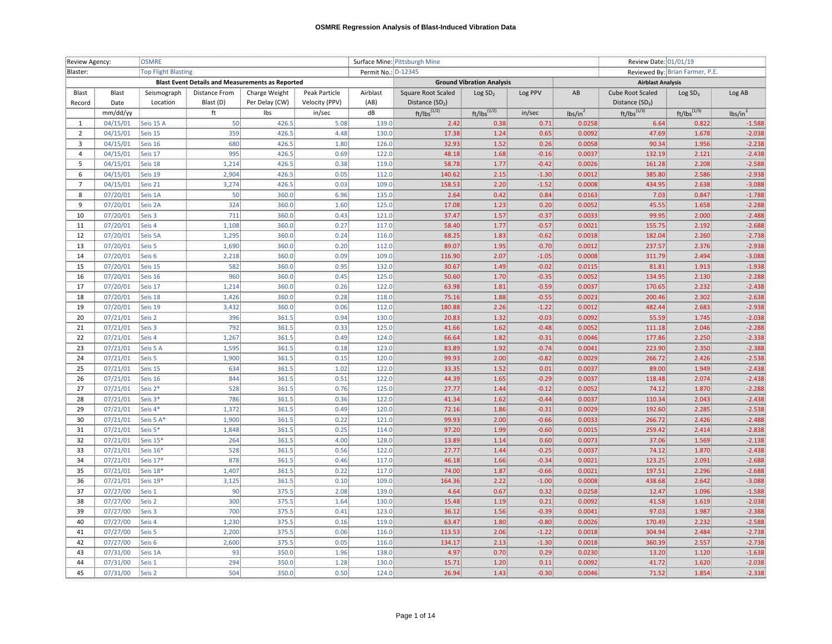| Review Agency: |          | <b>OSMRE</b>               |                                                         |                |                   | Surface Mine: Pittsburgh Mine |                    |                                  |         |                     | Review Date: 01/01/19    |                                 |                     |  |
|----------------|----------|----------------------------|---------------------------------------------------------|----------------|-------------------|-------------------------------|--------------------|----------------------------------|---------|---------------------|--------------------------|---------------------------------|---------------------|--|
| Blaster:       |          | <b>Top Flight Blasting</b> |                                                         |                |                   | Permit No.: D-12345           |                    |                                  |         |                     |                          | Reviewed By: Brian Farmer, P.E. |                     |  |
|                |          |                            | <b>Blast Event Details and Measurements as Reported</b> |                |                   |                               |                    | <b>Ground Vibration Analysis</b> |         |                     | <b>Airblast Analysis</b> |                                 |                     |  |
| Blast          | Blast    | Seismograph                | Distance From                                           | Charge Weight  | Peak Particle     | Airblast                      | Square Root Scaled | Log SD <sub>2</sub>              | Log PPV | AB                  | Cube Root Scaled         | Log SD <sub>3</sub>             | Log AB              |  |
| Record         | Date     | Location                   | Blast (D)                                               | Per Delay (CW) | Velocity (PPV)    | (AB)                          | Distance $(SD2)$   |                                  |         |                     | Distance $(SD_3)$        |                                 |                     |  |
|                | mm/dd/yy |                            | ft                                                      | Ibs            | in/sec            | dB                            | $ft/lbs^{(1/2)}$   | $ft/lbs^{(1/2)}$                 | in/sec  | lbs/in <sup>2</sup> | $ft/lbs^{(1/3)}$         | $ft/lbs^{(1/3)}$                | lbs/in <sup>2</sup> |  |
| 1              | 04/15/01 | Seis 15 A                  | 50                                                      | 426.5          | 5.08              | 139.0                         | 2.42               | 0.38                             | 0.71    | 0.0258              | 6.64                     | 0.822                           | $-1.588$            |  |
| $\overline{2}$ | 04/15/01 | Seis 15                    | 359                                                     | 426.5          | 4.48              | 130.0                         | 17.38              | 1.24                             | 0.65    | 0.0092              | 47.69                    | 1.678                           | $-2.038$            |  |
| 3              | 04/15/01 | Seis 16                    | 680                                                     | 426.5          | 1.80              | 126.0                         | 32.93              | 1.52                             | 0.26    | 0.0058              | 90.34                    | 1.956                           | $-2.238$            |  |
| $\overline{4}$ | 04/15/01 | Seis 17                    | 995                                                     | 426.5          | 0.69.             | 122.0                         | 48.18              | 1.68                             | $-0.16$ | 0.0037              | 132.19                   | 2.121                           | $-2.438$            |  |
| 5              | 04/15/01 | Seis 18                    | 1,214                                                   | 426.5          | 0.38              | 119.0                         | 58.78              | 1.77                             | $-0.42$ | 0.0026              | 161.28                   | 2.208                           | $-2.588$            |  |
| 6              | 04/15/01 | Seis 19                    | 2,904                                                   | 426.5          | 0.05              | 112.0                         | 140.62             | 2.15                             | $-1.30$ | 0.0012              | 385.80                   | 2.586                           | $-2.938$            |  |
| 7              | 04/15/01 | Seis 21                    | 3,274                                                   | 426.5          | 0.03              | 109.0                         | 158.53             | 2.20                             | $-1.52$ | 0.0008              | 434.95                   | 2.638                           | $-3.088$            |  |
| 8              | 07/20/01 | Seis 1A                    | 50                                                      | 360.0          | 6.96              | 135.0                         | 2.64               | 0.42                             | 0.84    | 0.0163              | 7.03                     | 0.847                           | $-1.788$            |  |
| 9              | 07/20/01 | Seis 2A                    | 324                                                     | 360.0          | 1.60              | 125.0                         | 17.08              | 1.23                             | 0.20    | 0.0052              | 45.55                    | 1.658                           | $-2.288$            |  |
| 10             | 07/20/01 | Seis 3                     | 711                                                     | 360.0          | 0.43              | 121.0                         | 37.47              | $1.57$                           | $-0.37$ | 0.0033              | 99.95                    | 2.000                           | $-2.488$            |  |
| 11             | 07/20/01 | Seis 4                     | 1,108                                                   | 360.0          | 0.27              | 117.0                         | 58.40              | 1.77                             | $-0.57$ | 0.0021              | 155.75                   | 2.192                           | $-2.688$            |  |
| 12             | 07/20/01 | Seis 5A                    | 1,295                                                   | 360.0          | 0.24              | 116.0                         | 68.25              | 1.83                             | $-0.62$ | 0.0018              | 182.04                   | 2.260                           | $-2.738$            |  |
| 13             | 07/20/01 | Seis 5                     | 1,690                                                   | 360.0          | 0.20              | 112.0                         | 89.07              | 1.95                             | $-0.70$ | 0.0012              | 237.57                   | 2.376                           | $-2.938$            |  |
| 14             | 07/20/01 | Seis 6                     | 2,218                                                   | 360.0          | 0.09              | 109.0                         | 116.90             | 2.07                             | $-1.05$ | 0.0008              | 311.79                   | 2.494                           | $-3.088$            |  |
| 15             | 07/20/01 | Seis 15                    | 582                                                     | 360.0          | 0.95              | 132.0                         | 30.67              | 1.49                             | $-0.02$ | 0.0115              | 81.81                    | 1.913                           | $-1.938$            |  |
| 16             | 07/20/01 | Seis 16                    | 960                                                     | 360.0          | 0.45              | 125.0                         | 50.60              | 1.70                             | $-0.35$ | 0.0052              | 134.95                   | 2.130                           | $-2.288$            |  |
| 17             | 07/20/01 | Seis 17                    | 1,214                                                   | 360.0          | 0.26              | 122.0                         | 63.98              | 1.81                             | $-0.59$ | 0.0037              | 170.65                   | 2.232                           | $-2.438$            |  |
| 18             | 07/20/01 | Seis 18                    | 1,426                                                   | 360.0          | 0.28 <sup>2</sup> | 118.0                         | 75.16              | 1.88                             | $-0.55$ | 0.0023              | 200.46                   | 2.302                           | $-2.638$            |  |
| 19             | 07/20/01 | Seis 19                    | 3,432                                                   | 360.0          | 0.06              | 112.0                         | 180.88             | 2.26                             | $-1.22$ | 0.0012              | 482.44                   | 2.683                           | $-2.938$            |  |
| 20             | 07/21/01 | Seis 2                     | 396                                                     | 361.5          | 0.94              | 130.0                         | 20.83              | 1.32                             | $-0.03$ | 0.0092              | 55.59                    | 1.745                           | $-2.038$            |  |
| 21             | 07/21/01 | Seis 3                     | 792                                                     | 361.5          | 0.33              | 125.0                         | 41.66              | 1.62                             | $-0.48$ | 0.0052              | 111.18                   | 2.046                           | $-2.288$            |  |
| 22             | 07/21/01 | Seis 4                     | 1,267                                                   | 361.5          | 0.49              | 124.0                         | 66.64              | 1.82                             | $-0.31$ | 0.0046              | 177.86                   | 2.250                           | $-2.338$            |  |
| 23             | 07/21/01 | Seis 5 A                   | 1,595                                                   | 361.5          | 0.18              | 123.0                         | 83.89              | 1.92                             | $-0.74$ | 0.0041              | 223.90                   | 2.350                           | $-2.388$            |  |
| 24             | 07/21/01 | Seis 5                     | 1,900                                                   | 361.5          | 0.15              | 120.0                         | 99.93              | 2.00                             | $-0.82$ | 0.0029              | 266.72                   | 2.426                           | $-2.538$            |  |
| 25             | 07/21/01 | Seis 15                    | 634                                                     | 361.5          | 1.02              | 122.0                         | 33.35              | 1.52                             | 0.01    | 0.0037              | 89.00                    | 1.949                           | $-2.438$            |  |
| 26             | 07/21/01 | Seis 16                    | 844                                                     | 361.5          | 0.51              | 122.0                         | 44.39              | 1.65                             | $-0.29$ | 0.0037              | 118.48                   | 2.074                           | $-2.438$            |  |
| 27             | 07/21/01 | Seis 2*                    | 528                                                     | 361.5          | 0.76              | 125.0                         | 27.77              | 1.44                             | $-0.12$ | 0.0052              | 74.12                    | 1.870                           | $-2.288$            |  |
| 28             | 07/21/01 | Seis 3*                    | 786                                                     | 361.5          | 0.36              | 122.0                         | 41.34              | 1.62                             | $-0.44$ | 0.0037              | 110.34                   | 2.043                           | $-2.438$            |  |
| 29             | 07/21/01 | Seis 4*                    | 1,372                                                   | 361.5          | 0.49              | 120.0                         | 72.16              | 1.86                             | $-0.31$ | 0.0029              | 192.60                   | 2.285                           | $-2.538$            |  |
| 30             | 07/21/01 | Seis 5 A*                  | 1,900                                                   | 361.5          | 0.22              | 121.0                         | 99.93              | 2.00                             | $-0.66$ | 0.0033              | 266.72                   | 2.426                           | $-2.488$            |  |
| 31             | 07/21/01 | Seis 5*                    | 1,848                                                   | 361.5          | 0.25              | 114.0                         | 97.20              | 1.99                             | $-0.60$ | 0.0015              | 259.42                   | 2.414                           | $-2.838$            |  |
| 32             | 07/21/01 | Seis 15*                   | 264                                                     | 361.5          | 4.00              | 128.0                         | 13.89              | 1.14                             | 0.60    | 0.0073              | 37.06                    | 1.569                           | $-2.138$            |  |
| 33             | 07/21/01 | Seis 16*                   | 528                                                     | 361.5          | 0.56              | 122.0                         | 27.77              | 1.44                             | $-0.25$ | 0.0037              | 74.12                    | 1.870                           | $-2.438$            |  |
| 34             | 07/21/01 | Seis 17*                   | 878                                                     | 361.5          | 0.46              | 117.0                         | 46.18              | 1.66                             | $-0.34$ | 0.0021              | 123.25                   | 2.091                           | $-2.688$            |  |
| 35             | 07/21/01 | Seis 18*                   | 1,407                                                   | 361.5          | 0.22              | 117.0                         | 74.00              | 1.87                             | $-0.66$ | 0.0021              | 197.51                   | 2.296                           | $-2.688$            |  |
| 36             | 07/21/01 | Seis 19*                   | 3,125                                                   | 361.5          | 0.10              | 109.0                         | 164.36             | 2.22                             | $-1.00$ | 0.0008              | 438.68                   | 2.642                           | $-3.088$            |  |
| 37             | 07/27/00 | Seis 1                     | 90                                                      | 375.5          | 2.08:             | 139.0                         | 4.64               | 0.67                             | 0.32    | 0.0258              | 12.47                    | 1.096                           | $-1.588$            |  |
| 38             | 07/27/00 | Seis <sub>2</sub>          | 300                                                     | 375.5          | 1.64              | 130.0                         | 15.48              | 1.19                             | 0.21    | 0.0092              | 41.58                    | 1.619                           | $-2.038$            |  |
| 39             | 07/27/00 | Seis 3                     | 700                                                     | 375.5          | 0.41              | 123.0                         | 36.12              | 1.56 <sub>1</sub>                | $-0.39$ | 0.0041              | 97.03                    | 1.987                           | $-2.388$            |  |
| 40             | 07/27/00 | Seis 4                     | 1,230                                                   | 375.5          | 0.16              | 119.0                         | 63.47              | 1.80                             | $-0.80$ | 0.0026              | 170.49                   | 2.232                           | $-2.588$            |  |
| 41             | 07/27/00 | Seis 5                     | 2,200                                                   | 375.5          | 0.06              | 116.0                         | 113.53             | 2.06                             | $-1.22$ | 0.0018              | 304.94                   | 2.484                           | $-2.738$            |  |
| 42             | 07/27/00 | Seis 6                     | 2,600                                                   | 375.5          | 0.05              | 116.0                         | 134.17             | 2.13                             | $-1.30$ | 0.0018              | 360.39                   | 2.557                           | $-2.738$            |  |
| 43             | 07/31/00 | Seis 1A                    | 93                                                      | 350.0          | 1.96              | 138.0                         | 4.97               | 0.70                             | 0.29    | 0.0230              | 13.20                    | 1.120                           | $-1.638$            |  |
| 44             | 07/31/00 | Seis 1                     | 294                                                     | 350.0          | 1.28              | 130.0                         | 15.71              | 1.20                             | 0.11    | 0.0092              | 41.72                    | 1.620                           | $-2.038$            |  |
| 45             | 07/31/00 | Seis <sub>2</sub>          | 504                                                     | 350.0          | 0.50              | 124.0                         | 26.94              | 1.43                             | $-0.30$ | 0.0046              | 71.52                    | 1.854                           | $-2.338$            |  |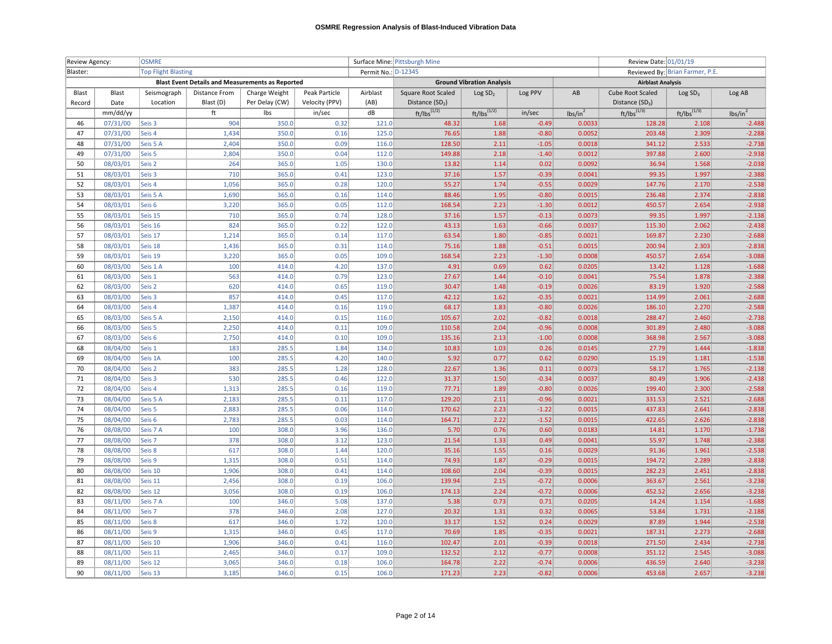| Review Agency: |                      | <b>OSMRE</b>               |                                                         |                |                | Surface Mine: Pittsburgh Mine |                             |                                  |                    |                     | Review Date: 01/01/19           |                     |                      |  |
|----------------|----------------------|----------------------------|---------------------------------------------------------|----------------|----------------|-------------------------------|-----------------------------|----------------------------------|--------------------|---------------------|---------------------------------|---------------------|----------------------|--|
| Blaster:       |                      | <b>Top Flight Blasting</b> |                                                         |                |                | Permit No.: D-12345           |                             |                                  |                    |                     | Reviewed By: Brian Farmer, P.E. |                     |                      |  |
|                |                      |                            | <b>Blast Event Details and Measurements as Reported</b> |                |                |                               |                             | <b>Ground Vibration Analysis</b> |                    |                     | <b>Airblast Analysis</b>        |                     |                      |  |
| Blast          | Blast                | Seismograph                | Distance From                                           | Charge Weight  | Peak Particle  | Airblast                      | Square Root Scaled          | Log SD <sub>2</sub>              | Log PPV            | AB                  | Cube Root Scaled                | Log SD <sub>3</sub> | Log AB               |  |
| Record         | Date                 | Location                   | Blast (D)                                               | Per Delay (CW) | Velocity (PPV) | (AB)                          | Distance (SD <sub>2</sub> ) |                                  |                    |                     | Distance $(SD_3)$               |                     |                      |  |
|                | mm/dd/yy             |                            | ft                                                      | Ibs            | in/sec         | dB                            | $ft/lbs^{(1/2)}$            | $ft/lbs^{(1/2)}$                 | in/sec             | lbs/in <sup>2</sup> | $ft/lbs^{(1/3)}$                | $ft/lbs^{(1/3)}$    | lbs/in <sup>2</sup>  |  |
| 46             | 07/31/00             | Seis 3                     | 904                                                     | 350.0          | 0.32           | 121.0                         | 48.32                       | 1.68                             | $-0.49$            | 0.0033              | 128.28                          | 2.108               | $-2.488$             |  |
| 47             | 07/31/00             | Seis 4                     | 1,434                                                   | 350.0          | 0.16           | 125.0                         | 76.65                       | 1.88                             | $-0.80$            | 0.0052              | 203.48                          | 2.309               | $-2.288$             |  |
| 48             | 07/31/00             | Seis 5 A                   | 2,404                                                   | 350.0          | 0.09           | 116.0                         | 128.50                      | 2.11                             | $-1.05$            | 0.0018              | 341.12                          | 2.533               | $-2.738$             |  |
| 49             | 07/31/00             | Seis <sub>5</sub>          | 2.804                                                   | 350.0          | 0.04           | 112.0                         | 149.88                      | 2.18                             | $-1.40$            | 0.0012              | 397.88                          | 2.600               | $-2.938$             |  |
| 50             | 08/03/01             | Seis 2                     | 264                                                     | 365.0          | 1.05           | 130.0                         | 13.82                       | 1.14                             | 0.02               | 0.0092              | 36.94                           | 1.568               | $-2.038$             |  |
| 51             | 08/03/01             | Seis 3                     | 710                                                     | 365.0          | 0.41           | 123.0                         | 37.16                       | 1.57                             | $-0.39$            | 0.0041              | 99.35                           | 1.997               | $-2.388$             |  |
| 52             | 08/03/01             | Seis 4                     | 1,056                                                   | 365.0          | 0.28           | 120.0                         | 55.27                       | 1.74 <sup>3</sup>                | $-0.55$            | 0.0029              | 147.76                          | 2.170               | $-2.538$             |  |
| 53             | 08/03/01             | Seis 5 A                   | 1,690                                                   | 365.0          | 0.16           | 114.0                         | 88.46                       | 1.95                             | $-0.80$            | 0.0015              | 236.48                          | 2.374               | $-2.838$             |  |
| 54             | 08/03/01             | Seis 6                     | 3,220                                                   | 365.0          | 0.05           | 112.0                         | 168.54                      | 2.23                             | $-1.30$            | 0.0012              | 450.57                          | 2.654               | $-2.938$             |  |
| 55             | 08/03/01             | Seis 15                    | 710                                                     | 365.0          | 0.74           | 128.0                         | 37.16                       | $1.57$                           | $-0.13$            | 0.0073              | 99.35                           | 1.997               | $-2.138$             |  |
| 56             | 08/03/01             | Seis 16                    | 824                                                     | 365.0          | 0.22           | 122.0                         | 43.13                       | 1.63                             | $-0.66$            | 0.0037              | 115.30                          | 2.062               | $-2.438$             |  |
| 57             | 08/03/01             | Seis 17                    | 1,214                                                   | 365.0          | 0.14           | 117.0                         | 63.54                       | 1.80                             | $-0.85$            | 0.0021              | 169.87                          | 2.230               | $-2.688$             |  |
| 58             | 08/03/01             | Seis 18                    | 1,436                                                   | 365.0          | 0.31           | 114.0                         | 75.16                       | 1.88                             | $-0.51$            | 0.0015              | 200.94                          | 2.303               | $-2.838$             |  |
| 59             | 08/03/01             | Seis 19                    | 3,220                                                   | 365.0          | 0.05           | 109.0                         | 168.54                      | 2.23                             | $-1.30$            | 0.0008              | 450.57                          | 2.654               | $-3.088$             |  |
| 60             | 08/03/00             | Seis 1 A                   | 100                                                     | 414.0          | 4.20:          | 137.0                         | 4.91                        | 0.69                             | 0.62               | 0.0205              | 13.42                           | 1.128               | $-1.688$             |  |
| 61             | 08/03/00             | Seis 1                     | 563                                                     | 414.0          | 0.79           | 123.0                         | 27.67                       | 1.44                             | $-0.10$            | 0.0041              | 75.54                           | 1.878               | $-2.388$             |  |
| 62             | 08/03/00             | Seis <sub>2</sub>          | 620                                                     | 414.0          | 0.65           | 119.0                         | 30.47                       | 1.48                             | $-0.19$            | 0.0026              | 83.19                           | 1.920               | $-2.588$             |  |
| 63             | 08/03/00             | Seis 3                     | 857                                                     | 414.0          | 0.45           | 117.0                         | 42.12                       | 1.62                             | $-0.35$            | 0.0021              | 114.99                          | 2.061               | $-2.688$             |  |
| 64             | 08/03/00             | Seis 4                     | 1,387                                                   | 414.0          | 0.16           | 119.0                         | 68.17                       | 1.83                             | $-0.80$            | 0.0026              | 186.10                          | 2.270               | $-2.588$             |  |
| 65             | 08/03/00             | Seis 5 A                   | 2,150                                                   | 414.0          | 0.15           | 116.0                         | 105.67                      | 2.02                             | $-0.82$            | 0.0018              | 288.47                          | 2.460               | $-2.738$             |  |
| 66             | 08/03/00             | Seis 5                     | 2,250                                                   | 414.0          | 0.11           | 109.0                         | 110.58                      | 2.04                             | $-0.96$            | 0.0008              | 301.89                          | 2.480               | $-3.088$             |  |
| 67             | 08/03/00             | Seis 6                     | 2,750                                                   | 414.0          | 0.10           | 109.0                         | 135.16                      | 2.13                             | $-1.00$            | 0.0008              | 368.98                          | 2.567               | $-3.088$             |  |
| 68             | 08/04/00             | Seis 1                     | 183                                                     | 285.5          | 1.84           | 134.0                         | 10.83                       | 1.03                             | 0.26               | 0.0145              | 27.79                           | 1.444               | $-1.838$             |  |
| 69             | 08/04/00             | Seis 1A                    | 100                                                     | 285.5          | 4.20           | 140.0                         | 5.92                        | 0.77                             | 0.62               | 0.0290              | 15.19                           | 1.181               | $-1.538$             |  |
| 70             | 08/04/00             | Seis 2                     | 383                                                     | 285.5          | 1.28           | 128.0                         | 22.67                       | 1.36                             | 0.11               | 0.0073              | 58.17                           | 1.765               | $-2.138$             |  |
| 71             | 08/04/00             | Seis 3                     | 530                                                     | 285.5          | 0.46           | 122.0                         | 31.37                       | 1.50                             | $-0.34$            | 0.0037              | 80.49                           | 1.906               | $-2.438$             |  |
| 72             | 08/04/00             | Seis <sub>4</sub>          | 1.313                                                   | 285.5          | 0.16           | 119.0                         | 77.71                       | 1.89                             | $-0.80$            | 0.0026              | 199.40                          | 2.300               | $-2.588$             |  |
| 73             | 08/04/00             | Seis 5 A                   | 2,183                                                   | 285.5          | 0.11           | 117.0                         | 129.20                      | 2.11                             | $-0.96$            | 0.0021              | 331.53                          | 2.521               | $-2.688$             |  |
| 74             | 08/04/00             | Seis 5                     | 2,883                                                   | 285.5          | 0.06           | 114.0                         | 170.62                      | 2.23                             | $-1.22$            | 0.0015              | 437.83                          | 2.641               | $-2.838$             |  |
| 75             | 08/04/00             | Seis <sub>6</sub>          | 2,783                                                   | 285.5          | 0.03           | 114.0                         | 164.71                      | 2.22                             | $-1.52$            | 0.0015              | 422.65                          | 2.626               | $-2.838$             |  |
| 76             | 08/08/00             | Seis 7 A                   | 100                                                     | 308.0          | 3.96           | 136.0                         | 5.70                        | 0.76                             | 0.60<br>0.49       | 0.0183              | 14.81<br>55.97                  | 1.170               | $-1.738$             |  |
| 77             | 08/08/00             | Seis 7                     | 378                                                     | 308.0          | 3.12           | 123.0                         | 21.54                       | 1.33                             |                    | 0.0041              |                                 | 1.748               | $-2.388$             |  |
| 78             | 08/08/00             | Seis 8                     | 617                                                     | 308.0          | 1.44           | 120.0<br>114.0                | 35.16                       | 1.55                             | 0.16<br>$-0.29$    | 0.0029<br>0.0015    | 91.36                           | 1.961               | $-2.538$             |  |
| 79             | 08/08/00             | Seis 9                     | 1,315                                                   | 308.0          | 0.51           |                               | 74.93<br>108.60             | 1.87                             |                    |                     | 194.72                          | 2.289               | $-2.838$             |  |
| 80<br>81       | 08/08/00             | Seis 10                    | 1,906<br>2,456                                          | 308.0<br>308.0 | 0.41<br>0.19   | 114.0<br>106.0                | 139.94                      | 2.04<br>2.15                     | $-0.39$<br>$-0.72$ | 0.0015<br>0.0006    | 282.23<br>363.67                | 2.451<br>2.561      | $-2.838$<br>$-3.238$ |  |
|                | 08/08/00             | Seis 11                    |                                                         |                |                |                               |                             |                                  |                    |                     |                                 |                     |                      |  |
| 82<br>83       | 08/08/00<br>08/11/00 | Seis 12<br>Seis 7 A        | 3,056<br>100                                            | 308.0<br>346.0 | 0.19<br>5.08   | 106.0<br>137.0                | 174.13<br>5.38              | 2.24                             | $-0.72$<br>0.71    | 0.0006<br>0.0205    | 452.52<br>14.24                 | 2.656<br>1.154      | $-3.238$<br>$-1.688$ |  |
|                | 08/11/00             | Seis 7                     | 378                                                     | 346.0          |                | 127.0                         | 20.32                       | 0.73<br>1.31                     | 0.32               | 0.0065              | 53.84                           | 1.731               | $-2.188$             |  |
| 84<br>85       | 08/11/00             | Seis 8                     | 617                                                     | 346.0          | 2.08<br>1.72   | 120.0                         | 33.17                       | $\frac{1}{1.52}$                 | 0.24               | 0.0029              | 87.89                           | 1.944               | $-2.538$             |  |
| 86             | 08/11/00             | Seis 9                     | 1,315                                                   | 346.0          | 0.45           | 117.0                         | 70.69                       | 1.85                             | $-0.35$            | 0.0021              | 187.31                          | 2.273               | $-2.688$             |  |
| 87             | 08/11/00             | Seis 10                    | 1,906                                                   | 346.0          | 0.41           | 116.0                         | 102.47                      | 2.01                             | $-0.39$            | 0.0018              | 271.50                          | 2.434               | $-2.738$             |  |
| 88             | 08/11/00             | Seis 11                    | 2,465                                                   | 346.0          | 0.17           | 109.0                         | 132.52                      | 2.12                             | $-0.77$            | 0.0008              | 351.12                          | 2.545               | $-3.088$             |  |
| 89             | 08/11/00             | Seis 12                    | 3,065                                                   | 346.0          | 0.18           | 106.0                         | 164.78                      | 2.22 <sub>1</sub>                | $-0.74$            | 0.0006              | 436.59                          | 2.640               | $-3.238$             |  |
| 90             | 08/11/00             | Seis 13                    | 3,185                                                   | 346.0          | 0.15           | 106.0                         | 171.23                      | 2.23                             | $-0.82$            | 0.0006              | 453.68                          | 2.657               | $-3.238$             |  |
|                |                      |                            |                                                         |                |                |                               |                             |                                  |                    |                     |                                 |                     |                      |  |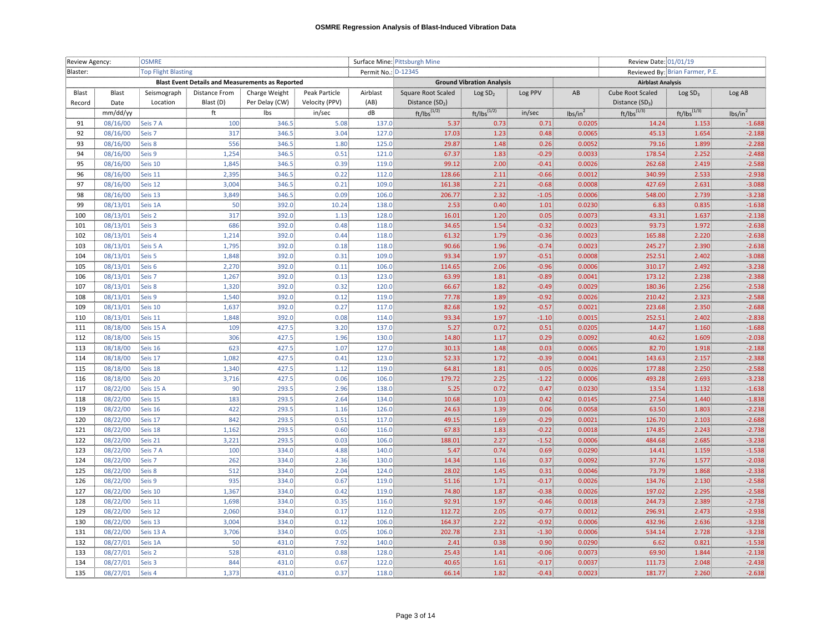|          | Review Agency: | <b>OSMRE</b>               |                                                         |                |                   | Surface Mine: Pittsburgh Mine |                             |                                  |         |                     | Review Date: 01/01/19       |                                 |                     |  |
|----------|----------------|----------------------------|---------------------------------------------------------|----------------|-------------------|-------------------------------|-----------------------------|----------------------------------|---------|---------------------|-----------------------------|---------------------------------|---------------------|--|
| Blaster: |                | <b>Top Flight Blasting</b> |                                                         |                |                   | Permit No.: D-12345           |                             |                                  |         |                     |                             | Reviewed By: Brian Farmer, P.E. |                     |  |
|          |                |                            | <b>Blast Event Details and Measurements as Reported</b> |                |                   |                               |                             | <b>Ground Vibration Analysis</b> |         |                     | <b>Airblast Analysis</b>    |                                 |                     |  |
| Blast    | Blast          | Seismograph                | Distance From                                           | Charge Weight  | Peak Particle     | Airblast                      | Square Root Scaled          | Log SD <sub>2</sub>              | Log PPV | AB                  | Cube Root Scaled            | Log SD <sub>3</sub>             | Log AB              |  |
| Record   | Date           | Location                   | Blast (D)                                               | Per Delay (CW) | Velocity (PPV)    | (AB)                          | Distance (SD <sub>2</sub> ) |                                  |         |                     | Distance (SD <sub>3</sub> ) |                                 |                     |  |
|          | mm/dd/yy       |                            | ft                                                      | Ibs            | in/sec            | dB                            | $ft/lbs^{(1/2)}$            | $ft/lbs^{(1/2)}$                 | in/sec  | lbs/in <sup>2</sup> | $ft/lbs^{(1/3)}$            | $ft/lbs^{(1/3)}$                | lbs/in <sup>2</sup> |  |
| 91       | 08/16/00       | Seis 7 A                   | 100                                                     | 346.5          | 5.08              | 137.0                         | 5.37                        | 0.73                             | 0.71    | 0.0205              | 14.24                       | 1.153                           | $-1.688$            |  |
| 92       | 08/16/00       | Seis 7                     | 317                                                     | 346.5          | 3.04              | 127.0                         | 17.03                       | 1.23                             | 0.48    | 0.0065              | 45.13                       | 1.654                           | $-2.188$            |  |
| 93       | 08/16/00       | Seis 8                     | 556                                                     | 346.5          | 1.80              | 125.0                         | 29.87                       | 1.48                             | 0.26    | 0.0052              | 79.16                       | 1.899                           | $-2.288$            |  |
| 94       | 08/16/00       | Seis 9                     | 1,254                                                   | 346.5          | 0.51              | 121.0                         | 67.37                       | 1.83                             | $-0.29$ | 0.0033              | 178.54                      | 2.252                           | $-2.488$            |  |
| 95       | 08/16/00       | Seis 10                    | 1.845                                                   | 346.5          | 0.39 <sup>°</sup> | 119.0                         | 99.12                       | 2.00                             | $-0.41$ | 0.0026              | 262.68                      | 2.419                           | $-2.588$            |  |
| 96       | 08/16/00       | Seis 11                    | 2,395                                                   | 346.5          | 0.22              | 112.0                         | 128.66                      | 2.11                             | $-0.66$ | 0.0012              | 340.99                      | 2.533                           | $-2.938$            |  |
| 97       | 08/16/00       | Seis 12                    | 3,004                                                   | 346.5          | 0.21              | 109.0                         | 161.38                      | 2.21 <sup>3</sup>                | $-0.68$ | 0.0008              | 427.69                      | 2.631                           | $-3.088$            |  |
| 98       | 08/16/00       | Seis 13                    | 3,849                                                   | 346.5          | 0.09              | 106.0                         | 206.77                      | $2.32$                           | $-1.05$ | 0.0006              | 548.00                      | 2.739                           | $-3.238$            |  |
| 99       | 08/13/01       | Seis 1A                    | 50                                                      | 392.0          | 10.24             | 138.0                         | 2.53                        | 0.40                             | 1.01    | 0.0230              | 6.83                        | 0.835                           | $-1.638$            |  |
| 100      | 08/13/01       | Seis 2                     | 317                                                     | 392.0          | 1.13              | 128.0                         | 16.01                       | 1.20                             | 0.05    | 0.0073              | 43.31                       | 1.637                           | $-2.138$            |  |
| 101      | 08/13/01       | Seis 3                     | 686                                                     | 392.0          | 0.48.             | 118.0                         | 34.65                       | 1.54                             | $-0.32$ | 0.0023              | 93.73                       | 1.972                           | $-2.638$            |  |
| 102      | 08/13/01       | Seis 4                     | 1,214                                                   | 392.0          | 0.44              | 118.0                         | 61.32                       | 1.79                             | $-0.36$ | 0.0023              | 165.88                      | 2.220                           | $-2.638$            |  |
| 103      | 08/13/01       | Seis 5 A                   | 1,795                                                   | 392.0          | 0.18              | 118.0                         | 90.66                       | 1.96                             | $-0.74$ | 0.0023              | 245.27                      | 2.390                           | $-2.638$            |  |
| 104      | 08/13/01       | Seis 5                     | 1,848                                                   | 392.0          | 0.31              | 109.0                         | 93.34                       | 1.97                             | $-0.51$ | 0.0008              | 252.51                      | 2.402                           | $-3.088$            |  |
| 105      | 08/13/01       | Seis 6                     | 2,270                                                   | 392.0          | 0.11              | 106.0                         | 114.65                      | 2.06 <sup>3</sup>                | $-0.96$ | 0.0006              | 310.17                      | 2.492                           | $-3.238$            |  |
| 106      | 08/13/01       | Seis 7                     | 1,267                                                   | 392.0          | 0.13              | 123.0                         | 63.99                       | 1.81                             | $-0.89$ | 0.0041              | 173.12                      | 2.238                           | $-2.388$            |  |
| 107      | 08/13/01       | Seis 8                     | 1,320                                                   | 392.0          | 0.32              | 120.0                         | 66.67                       | 1.82                             | $-0.49$ | 0.0029              | 180.36                      | 2.256                           | $-2.538$            |  |
| 108      | 08/13/01       | Seis 9                     | 1,540                                                   | 392.0          | 0.12              | 119.0                         | 77.78                       | 1.89                             | $-0.92$ | 0.0026              | 210.42                      | 2.323                           | $-2.588$            |  |
| 109      | 08/13/01       | Seis 10                    | 1,637                                                   | 392.0          | 0.27              | 117.0                         | 82.68                       | 1.92                             | $-0.57$ | 0.0021              | 223.68                      | 2.350                           | $-2.688$            |  |
| 110      | 08/13/01       | Seis 11                    | 1,848                                                   | 392.0          | 0.08              | 114.0                         | 93.34                       | 1.97                             | $-1.10$ | 0.0015              | 252.51                      | 2.402                           | $-2.838$            |  |
| 111      | 08/18/00       | Seis 15 A                  | 109                                                     | 427.5          | 3.20              | 137.0                         | 5.27                        | 0.72                             | 0.51    | 0.0205              | 14.47                       | 1.160                           | $-1.688$            |  |
| 112      | 08/18/00       | Seis 15                    | 306                                                     | 427.5          | 1.96              | 130.0                         | 14.80                       | 1.17                             | 0.29    | 0.0092              | 40.62                       | 1.609                           | $-2.038$            |  |
| 113      | 08/18/00       | Seis 16                    | 623                                                     | 427.5          | $1.07$            | 127.0                         | 30.13                       | 1.48                             | 0.03    | 0.0065              | 82.70                       | 1.918                           | $-2.188$            |  |
| 114      | 08/18/00       | Seis 17                    | 1,082                                                   | 427.5          | 0.41              | 123.0                         | 52.33                       | 1.72                             | $-0.39$ | 0.0041              | 143.63                      | 2.157                           | $-2.388$            |  |
| 115      | 08/18/00       | Seis 18                    | 1,340                                                   | 427.5          | $1.12$            | 119.0                         | 64.81                       | 1.81                             | 0.05    | 0.0026              | 177.88                      | 2.250                           | $-2.588$            |  |
| 116      | 08/18/00       | Seis 20                    | 3,716                                                   | 427.5          | 0.06              | 106.0                         | 179.72                      | 2.25                             | $-1.22$ | 0.0006              | 493.28                      | 2.693                           | $-3.238$            |  |
| 117      | 08/22/00       | Seis 15 A                  | 90                                                      | 293.5          | 2.96              | 138.0                         | 5.25                        | 0.72                             | 0.47    | 0.0230              | 13.54                       | 1.132                           | $-1.638$            |  |
| 118      | 08/22/00       | Seis 15                    | 183                                                     | 293.5          | 2.64              | 134.0                         | 10.68                       | 1.03                             | 0.42    | 0.0145              | 27.54                       | 1.440                           | $-1.838$            |  |
| 119      | 08/22/00       | Seis 16                    | 422                                                     | 293.5          | 1.16              | 126.0                         | 24.63                       | 1.39                             | 0.06    | 0.0058              | 63.50                       | 1.803                           | $-2.238$            |  |
| 120      | 08/22/00       | Seis 17                    | 842                                                     | 293.5          | 0.51:             | 117.0                         | 49.15                       | 1.69                             | $-0.29$ | 0.0021              | 126.70                      | 2.103                           | $-2.688$            |  |
| 121      | 08/22/00       | Seis 18                    | 1,162                                                   | 293.5          | 0.60              | 116.0                         | 67.83                       | 1.83                             | $-0.22$ | 0.0018              | 174.85                      | 2.243                           | $-2.738$            |  |
| 122      | 08/22/00       | Seis 21                    | 3,221                                                   | 293.5          | 0.03              | 106.0                         | 188.01                      | 2.27                             | $-1.52$ | 0.0006              | 484.68                      | 2.685                           | $-3.238$            |  |
| 123      | 08/22/00       | Seis 7 A                   | 100                                                     | 334.0          | 4.88              | 140.0                         | 5.47.                       | 0.74                             | 0.69    | 0.0290              | 14.41                       | 1.159                           | $-1.538$            |  |
| 124      | 08/22/00       | Seis 7                     | 262                                                     | 334.0          | 2.36              | 130.0                         | 14.34                       | 1.16                             | 0.37    | 0.0092              | 37.76                       | 1.577                           | $-2.038$            |  |
| 125      | 08/22/00       | Seis 8                     | 512                                                     | 334.0          | 2.04              | 124.0                         | 28.02                       | 1.45 <sup>3</sup>                | 0.31    | 0.0046              | 73.79                       | 1.868                           | $-2.338$            |  |
| 126      | 08/22/00       | Seis 9                     | 935                                                     | 334.0          | 0.67              | 119.0                         | 51.16                       | 1.71                             | $-0.17$ | 0.0026              | 134.76                      | 2.130                           | $-2.588$            |  |
| 127      | 08/22/00       | Seis 10                    | 1,367                                                   | 334.0          | 0.42              | 119.0                         | 74.80                       | 1.87                             | $-0.38$ | 0.0026              | 197.02                      | 2.295                           | $-2.588$            |  |
| 128      | 08/22/00       | Seis 11                    | 1,698                                                   | 334.0          | 0.35:             | 116.0                         | 92.91                       | 1.97                             | $-0.46$ | 0.0018              | 244.73                      | 2.389                           | $-2.738$            |  |
| 129      | 08/22/00       | Seis 12                    | 2,060                                                   | 334.0          | 0.17              | 112.0                         | 112.72                      | 2.05                             | $-0.77$ | 0.0012              | 296.91                      | 2.473                           | $-2.938$            |  |
| 130      | 08/22/00       | Seis 13                    | 3,004                                                   | 334.0          | 0.12              | 106.0                         | 164.37                      | 2.22                             | $-0.92$ | 0.0006              | 432.96                      | 2.636                           | $-3.238$            |  |
| 131      | 08/22/00       | Seis 13 A                  | 3,706                                                   | 334.0          | 0.05              | 106.0                         | 202.78                      | 2.31                             | $-1.30$ | 0.0006              | 534.14                      | 2.728                           | $-3.238$            |  |
| 132      | 08/27/01       | Seis 1A                    | 50                                                      | 431.0          | 7.92              | 140.0                         | 2.41                        | 0.38                             | 0.90    | 0.0290              | 6.62                        | 0.821                           | $-1.538$            |  |
| 133      | 08/27/01       | Seis <sub>2</sub>          | 528                                                     | 431.0          | 0.88              | 128.0                         | 25.43                       | 1.41                             | $-0.06$ | 0.0073              | 69.90                       | 1.844                           | $-2.138$            |  |
| 134      | 08/27/01       | Seis 3                     | 844                                                     | 431.0          | 0.67              | 122.0                         | 40.65                       | 1.61                             | $-0.17$ | 0.0037              | 111.73                      | 2.048                           | $-2.438$            |  |
| 135      | 08/27/01       | Seis 4                     | 1,373                                                   | 431.0          | 0.37              | 118.0                         | 66.14                       | 1.82                             | $-0.43$ | 0.0023              | 181.77                      | 2.260                           | $-2.638$            |  |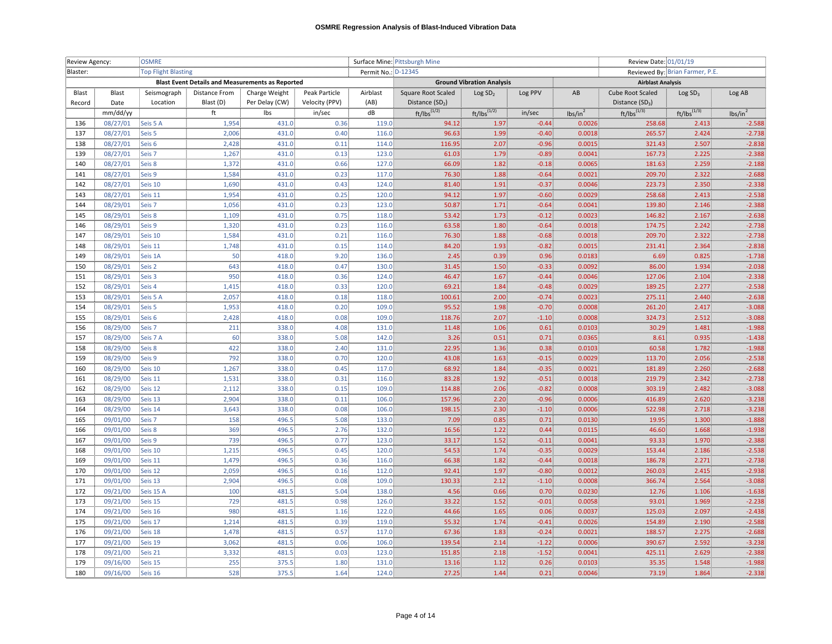| Review Agency: |                      | <b>OSMRE</b>               |                                                         |                |                | Surface Mine: Pittsburgh Mine |                             |                                  |                    |                     | Review Date: 01/01/19           |                     |                      |  |
|----------------|----------------------|----------------------------|---------------------------------------------------------|----------------|----------------|-------------------------------|-----------------------------|----------------------------------|--------------------|---------------------|---------------------------------|---------------------|----------------------|--|
| Blaster:       |                      | <b>Top Flight Blasting</b> |                                                         |                |                | Permit No.: D-12345           |                             |                                  |                    |                     | Reviewed By: Brian Farmer, P.E. |                     |                      |  |
|                |                      |                            | <b>Blast Event Details and Measurements as Reported</b> |                |                |                               |                             | <b>Ground Vibration Analysis</b> |                    |                     | <b>Airblast Analysis</b>        |                     |                      |  |
| Blast          | Blast                | Seismograph                | Distance From                                           | Charge Weight  | Peak Particle  | Airblast                      | Square Root Scaled          | Log SD <sub>2</sub>              | Log PPV            | AB                  | Cube Root Scaled                | Log SD <sub>3</sub> | Log AB               |  |
| Record         | Date                 | Location                   | Blast (D)                                               | Per Delay (CW) | Velocity (PPV) | (AB)                          | Distance (SD <sub>2</sub> ) |                                  |                    |                     | Distance $(SD_3)$               |                     |                      |  |
|                | mm/dd/yy             |                            | ft                                                      | Ibs            | in/sec         | dB                            | $ft/lbs^{(1/2)}$            | $ft/lbs^{(1/2)}$                 | in/sec             | lbs/in <sup>2</sup> | $ft/lbs^{(1/3)}$                | $ft/lbs^{(1/3)}$    | lbs/in <sup>2</sup>  |  |
| 136            | 08/27/01             | Seis 5 A                   | 1,954                                                   | 431.0          | 0.36           | 119.0                         | 94.12                       | 1.97                             | $-0.44$            | 0.0026              | 258.68                          | 2.413               | $-2.588$             |  |
| 137            | 08/27/01             | Seis 5                     | 2,006                                                   | 431.0          | 0.40           | 116.0                         | 96.63                       | 1.99                             | $-0.40$            | 0.0018              | 265.57                          | 2.424               | $-2.738$             |  |
| 138            | 08/27/01             | Seis <sub>6</sub>          | 2,428                                                   | 431.0          | 0.11           | 114.0                         | 116.95                      | 2.07                             | $-0.96$            | 0.0015              | 321.43                          | 2.507               | $-2.838$             |  |
| 139            | 08/27/01             | Seis 7                     | 1.267                                                   | 431.0          | 0.13.          | 123.0                         | 61.03                       | 1.79                             | $-0.89$            | 0.0041              | 167.73                          | 2.225               | $-2.388$             |  |
| 140            | 08/27/01             | Seis 8                     | 1,372                                                   | 431.0          | 0.66           | 127.0                         | 66.09                       | 1.82                             | $-0.18$            | 0.0065              | 181.63                          | 2.259               | $-2.188$             |  |
| 141            | 08/27/01             | Seis 9                     | 1,584                                                   | 431.0          | 0.23           | 117.0                         | 76.30                       | 1.88                             | $-0.64$            | 0.0021              | 209.70                          | 2.322               | $-2.688$             |  |
| 142            | 08/27/01             | Seis 10                    | 1,690                                                   | 431.0          | 0.43           | 124.0                         | 81.40                       | 1.91 <sup>3</sup>                | $-0.37$            | 0.0046              | 223.73                          | 2.350               | $-2.338$             |  |
| 143            | 08/27/01             | Seis 11                    | 1,954                                                   | 431.0          | 0.25           | 120.0                         | 94.12                       | 1.97                             | $-0.60$            | 0.0029              | 258.68                          | 2.413               | $-2.538$             |  |
| 144            | 08/29/01             | Seis <sub>7</sub>          | 1,056                                                   | 431.0          | 0.23           | 123.0                         | 50.87                       | 1.71                             | $-0.64$            | 0.0041              | 139.80                          | 2.146               | $-2.388$             |  |
| 145            | 08/29/01             | Seis 8                     | 1,109                                                   | 431.0          | 0.75           | 118.0                         | 53.42                       | 1.73                             | $-0.12$            | 0.0023              | 146.82                          | 2.167               | $-2.638$             |  |
| 146            | 08/29/01             | Seis 9                     | 1,320                                                   | 431.0          | 0.23           | 116.0                         | 63.58                       | 1.80                             | $-0.64$            | 0.0018              | 174.75                          | 2.242               | $-2.738$             |  |
| 147            | 08/29/01             | Seis 10                    | 1,584                                                   | 431.0          | 0.21           | 116.0                         | 76.30                       | 1.88                             | $-0.68$            | 0.0018              | 209.70                          | 2.322               | $-2.738$             |  |
| 148            | 08/29/01             | Seis 11                    | 1,748                                                   | 431.0          | 0.15           | 114.0                         | 84.20                       | 1.93                             | $-0.82$            | 0.0015              | 231.41                          | 2.364               | $-2.838$             |  |
| 149            | 08/29/01             | Seis 1A                    | 50                                                      | 418.0          | 9.20           | 136.0                         | 2.45                        | 0.39                             | 0.96               | 0.0183              | 6.69                            | 0.825               | $-1.738$             |  |
| 150            | 08/29/01             | Seis <sub>2</sub>          | 643                                                     | 418.0          | 0.47           | 130.0                         | 31.45                       | 1.50                             | $-0.33$            | 0.0092              | 86.00                           | 1.934               | $-2.038$             |  |
| 151            | 08/29/01             | Seis 3                     | 950                                                     | 418.0          | 0.36           | 124.0                         | 46.47                       | 1.67                             | $-0.44$            | 0.0046              | 127.06                          | 2.104               | $-2.338$             |  |
| 152            | 08/29/01             | Seis 4                     | 1,415                                                   | 418.0          | 0.33           | 120.0                         | 69.21                       | 1.84                             | $-0.48$            | 0.0029              | 189.25                          | 2.277               | $-2.538$             |  |
| 153            | 08/29/01             | Seis 5 A                   | 2,057                                                   | 418.0          | 0.18           | 118.0                         | 100.61                      | 2.00                             | $-0.74$            | 0.0023              | 275.11                          | 2.440               | $-2.638$             |  |
| 154            | 08/29/01             | Seis 5                     | 1,953                                                   | 418.0          | 0.20           | 109.0                         | 95.52                       | 1.98                             | $-0.70$            | 0.0008              | 261.20                          | 2.417               | $-3.088$             |  |
| 155            | 08/29/01             | Seis <sub>6</sub>          | 2,428                                                   | 418.0          | 0.08           | 109.0                         | 118.76                      | 2.07                             | $-1.10$            | 0.0008              | 324.73                          | 2.512               | $-3.088$             |  |
| 156            | 08/29/00             | Seis 7                     | 211                                                     | 338.0          | 4.08           | 131.0                         | 11.48                       | 1.06                             | 0.61               | 0.0103              | 30.29                           | 1.481               | $-1.988$             |  |
| 157            | 08/29/00             | Seis 7 A                   | 60                                                      | 338.0          | 5.08           | 142.0                         | 3.26                        | 0.51                             | 0.71               | 0.0365              | 8.61                            | 0.935               | $-1.438$             |  |
| 158            | 08/29/00             | Seis 8                     | 422                                                     | 338.0          | 2.40:          | 131.0                         | 22.95                       | 1.36                             | 0.38               | 0.0103              | 60.58                           | 1.782               | $-1.988$             |  |
| 159            | 08/29/00             | Seis 9                     | 792                                                     | 338.0          | 0.70           | 120.0                         | 43.08                       | 1.63                             | $-0.15$            | 0.0029              | 113.70                          | 2.056               | $-2.538$             |  |
| 160            | 08/29/00             | Seis 10                    | 1,267                                                   | 338.0          | 0.45           | 117.0                         | 68.92                       | 1.84                             | $-0.35$            | 0.0021              | 181.89                          | 2.260               | $-2.688$             |  |
| 161            | 08/29/00             | Seis 11                    | 1,531                                                   | 338.0<br>338.0 | 0.31<br>0.15   | 116.0<br>109.0                | 83.28                       | 1.92<br>2.06                     | $-0.51$<br>$-0.82$ | 0.0018<br>0.0008    | 219.79<br>303.19                | 2.342<br>2.482      | $-2.738$<br>$-3.088$ |  |
| 162            | 08/29/00             | Seis 12                    | 2,112                                                   |                |                | 106.0                         | 114.88<br>157.96            |                                  | $-0.96$            |                     | 416.89                          | 2.620               | $-3.238$             |  |
| 163<br>164     | 08/29/00<br>08/29/00 | Seis 13<br>Seis 14         | 2,904<br>3,643                                          | 338.0<br>338.0 | 0.11<br>0.08   | 106.0                         | 198.15                      | 2.20<br>2.30                     | $-1.10$            | 0.0006<br>0.0006    | 522.98                          | 2.718               | $-3.238$             |  |
| 165            | 09/01/00             | Seis 7                     | 158                                                     | 496.5          | 5.08           | 133.0                         | 7.09                        | 0.85                             | 0.71               | 0.0130              | 19.95                           | 1.300               | $-1.888$             |  |
| 166            | 09/01/00             | Seis 8                     | 369                                                     | 496.5          | 2.76           | 132.0                         | 16.56                       | 1.22                             | 0.44               | 0.0115              | 46.60                           | 1.668               | $-1.938$             |  |
| 167            | 09/01/00             | Seis 9                     | 739                                                     | 496.5          | 0.77           | 123.0                         | 33.17                       | 1.52                             | $-0.11$            | 0.0041              | 93.33                           | 1.970               | $-2.388$             |  |
| 168            | 09/01/00             | Seis 10                    | 1,215                                                   | 496.5          | 0.45           | 120.0                         | 54.53                       | 1.74                             | $-0.35$            | 0.0029              | 153.44                          | 2.186               | $-2.538$             |  |
| 169            | 09/01/00             | Seis 11                    | 1,479                                                   | 496.5          | 0.36           | 116.0                         | 66.38                       | 1.82                             | $-0.44$            | 0.0018              | 186.78                          | 2.271               | $-2.738$             |  |
| 170            | 09/01/00             | Seis 12                    | 2,059                                                   | 496.5          | 0.16           | 112.0                         | 92.41                       | 1.97                             | $-0.80$            | 0.0012              | 260.03                          | 2.415               | $-2.938$             |  |
| 171            | 09/01/00             | Seis 13                    | 2,904                                                   | 496.5          | 0.08           | 109.0                         | 130.33                      | 2.12                             | $-1.10$            | 0.0008              | 366.74                          | 2.564               | $-3.088$             |  |
| 172            | 09/21/00             | Seis 15 A                  | 100                                                     | 481.5          | 5.04           | 138.0                         | 4.56                        | 0.66                             | 0.70               | 0.0230              | 12.76                           | 1.106               | $-1.638$             |  |
| 173            | 09/21/00             | Seis 15                    | 729                                                     | 481.5          | 0.98:          | 126.0                         | 33.22                       | 1.52                             | $-0.01$            | 0.0058              | 93.01                           | 1.969               | $-2.238$             |  |
| 174            | 09/21/00             | Seis 16                    | 980                                                     | 481.5          | 1.16           | 122.0                         | 44.66                       | 1.65                             | 0.06               | 0.0037              | 125.03                          | 2.097               | $-2.438$             |  |
| 175            | 09/21/00             | Seis 17                    | 1,214                                                   | 481.5          | 0.39           | 119.0                         | 55.32                       | 1.74                             | $-0.41$            | 0.0026              | 154.89                          | 2.190               | $-2.588$             |  |
| 176            | 09/21/00             | Seis 18                    | 1,478                                                   | 481.5          | 0.57           | 117.0                         | 67.36                       | 1.83                             | $-0.24$            | 0.0021              | 188.57                          | 2.275               | $-2.688$             |  |
| 177            | 09/21/00             | Seis 19                    | 3,062                                                   | 481.5          | 0.06           | 106.0                         | 139.54                      | 2.14                             | $-1.22$            | 0.0006              | 390.67                          | 2.592               | $-3.238$             |  |
| 178            | 09/21/00             | Seis 21                    | 3,332                                                   | 481.5          | 0.03           | 123.0                         | 151.85                      | 2.18                             | $-1.52$            | 0.0041              | 425.11                          | 2.629               | $-2.388$             |  |
| 179            | 09/16/00             | Seis 15                    | 255                                                     | 375.5          | 1.80           | 131.0                         | 13.16                       | 1.12                             | 0.26               | 0.0103              | 35.35                           | 1.548               | $-1.988$             |  |
| 180            | 09/16/00             | Seis 16                    | 528                                                     | 375.5          | 1.64           | 124.0                         | 27.25                       | 1.44                             | 0.21               | 0.0046              | 73.19                           | 1.864               | $-2.338$             |  |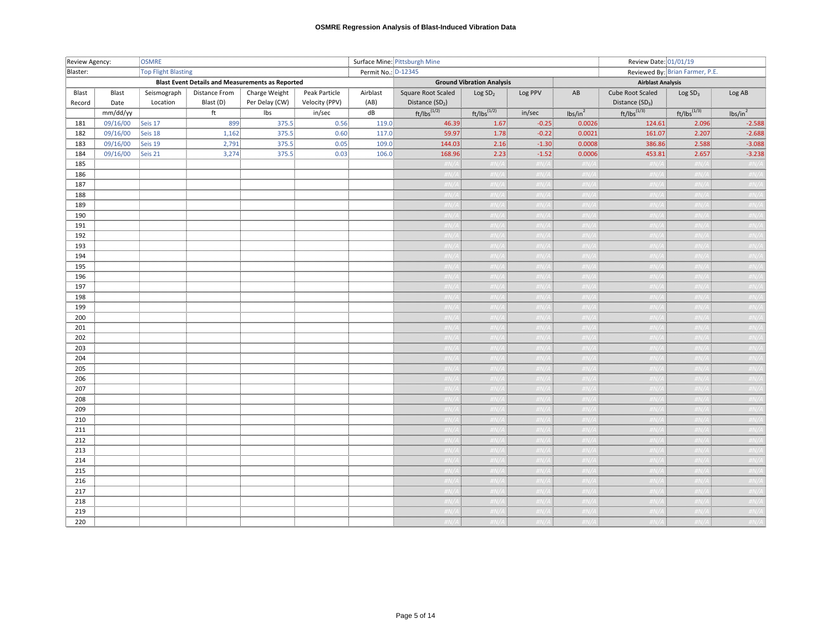| Review Agency:  |               | <b>OSMRE</b>               |                                                         |                                 |                                 |                     | Surface Mine: Pittsburgh Mine           |                                  |           |                   | Review Date: 01/01/19                 |                                 |               |
|-----------------|---------------|----------------------------|---------------------------------------------------------|---------------------------------|---------------------------------|---------------------|-----------------------------------------|----------------------------------|-----------|-------------------|---------------------------------------|---------------------------------|---------------|
| Blaster:        |               | <b>Top Flight Blasting</b> |                                                         |                                 |                                 | Permit No.: D-12345 |                                         |                                  |           |                   |                                       | Reviewed By: Brian Farmer, P.E. |               |
|                 |               |                            | <b>Blast Event Details and Measurements as Reported</b> |                                 |                                 |                     |                                         | <b>Ground Vibration Analysis</b> |           |                   | <b>Airblast Analysis</b>              |                                 |               |
| Blast<br>Record | Blast<br>Date | Seismograph<br>Location    | Distance From<br>Blast (D)                              | Charge Weight<br>Per Delay (CW) | Peak Particle<br>Velocity (PPV) | Airblast<br>(AB)    | Square Root Scaled<br>Distance $(SD_2)$ | Log SD <sub>2</sub>              | Log PPV   | AB                | Cube Root Scaled<br>Distance $(SD_3)$ | Log SD <sub>3</sub>             | Log AB        |
|                 | mm/dd/yy      |                            | ft                                                      | lbs                             | in/sec                          | dB                  | ft/lbs <sup>(1/2)</sup>                 | $ft/lbs^{(1/2)}$                 | in/sec    | $\text{lbs/in}^2$ | $ft/lbs^{(1/3)}$                      | $ft/lbs^{(1/3)}$                | $\frac{1}{5}$ |
| 181             | 09/16/00      | Seis 17                    | 899                                                     | 375.5                           | 0.56                            | 119.0               | 46.39                                   | 1.67                             | $-0.25$   | 0.0026            |                                       | 2.096                           | $-2.588$      |
| 182             | 09/16/00      | Seis 18                    | 1,162                                                   | 375.5                           | 0.60                            | 117.0               | 59.97                                   | 1.78                             | $-0.22$   | 0.0021            | 124.61<br>161.07                      | 2.207                           | $-2.688$      |
| 183             | 09/16/00      | Seis 19                    | 2,791                                                   | 375.5                           | 0.05                            | 109.0               | 144.03                                  | 2.16                             | $-1.30$   | 0.0008            | 386.86                                | 2.588                           | $-3.088$      |
| 184             | 09/16/00      | Seis 21                    | 3,274                                                   | 375.5                           | 0.03                            | 106.0               | 168.96                                  | 2.23                             | $-1.52$   | 0.0006            | 453.81                                | 2.657                           | $-3.238$      |
| 185             |               |                            |                                                         |                                 |                                 |                     | $\#N/A$                                 | $\#N/A$                          | #N/A :    | $\#N/A$           | H N/A                                 | $\#N/A$                         | $\#N/A$       |
| 186             |               |                            |                                                         |                                 |                                 |                     | ŧN/A i                                  | #N/A I                           | N/A I     | $\#N/A$           | tN/A ‡                                | $\#N/A$                         | #N/A          |
| 187             |               |                            |                                                         |                                 |                                 |                     |                                         |                                  |           |                   | N/A                                   |                                 |               |
| 188             |               |                            |                                                         |                                 |                                 |                     |                                         |                                  |           |                   |                                       |                                 |               |
| 189             |               |                            |                                                         |                                 |                                 |                     |                                         |                                  |           |                   |                                       |                                 |               |
| 190             |               |                            |                                                         |                                 |                                 |                     |                                         |                                  |           |                   |                                       |                                 |               |
| 191             |               |                            |                                                         |                                 |                                 |                     |                                         |                                  |           |                   |                                       |                                 |               |
| 192             |               |                            |                                                         |                                 |                                 |                     |                                         |                                  |           |                   |                                       |                                 |               |
| 193             |               |                            |                                                         |                                 |                                 |                     |                                         |                                  |           |                   |                                       |                                 |               |
| 194             |               |                            |                                                         |                                 |                                 |                     |                                         |                                  |           |                   |                                       |                                 |               |
| 195             |               |                            |                                                         |                                 |                                 |                     |                                         |                                  |           |                   |                                       |                                 |               |
| 196             |               |                            |                                                         |                                 |                                 |                     |                                         |                                  | #N/A L    |                   | #N/A±                                 |                                 | #N/A          |
| 197             |               |                            |                                                         |                                 |                                 |                     | #N/A 1                                  | $\#N/A$                          | #N/A 1    | $\#N/A$           | #N/A <u>_</u>                         | H N/A                           | #N/A          |
| 198             |               |                            |                                                         |                                 |                                 |                     | #N/A L                                  |                                  | 'N/A F    | $\#N/A$           | #N/A L                                | $H N / \Delta$                  | #N/A          |
| 199             |               |                            |                                                         |                                 |                                 |                     |                                         |                                  |           |                   |                                       |                                 |               |
| 200             |               |                            |                                                         |                                 |                                 |                     |                                         |                                  |           |                   |                                       |                                 |               |
| 201             |               |                            |                                                         |                                 |                                 |                     |                                         |                                  |           |                   |                                       |                                 |               |
| 202             |               |                            |                                                         |                                 |                                 |                     |                                         |                                  |           |                   |                                       |                                 |               |
| 203             |               |                            |                                                         |                                 |                                 |                     |                                         |                                  |           |                   |                                       |                                 |               |
| 204             |               |                            |                                                         |                                 |                                 |                     |                                         |                                  |           |                   |                                       |                                 |               |
| 205             |               |                            |                                                         |                                 |                                 |                     |                                         |                                  |           |                   |                                       |                                 |               |
| 206             |               |                            |                                                         |                                 |                                 |                     |                                         |                                  |           |                   |                                       |                                 |               |
| 207             |               |                            |                                                         |                                 |                                 |                     |                                         |                                  |           |                   |                                       |                                 |               |
| 208             |               |                            |                                                         |                                 |                                 |                     |                                         |                                  |           |                   |                                       |                                 |               |
| 209             |               |                            |                                                         |                                 |                                 |                     | $\#N/A$                                 |                                  | $\#N/A +$ | $\#N/A$           | $\#N/A$                               | $\#N/2$                         | #N/A          |
| 210             |               |                            |                                                         |                                 |                                 |                     | #N/A L                                  | $\#N/A$                          | #N/A‡     | $\#N/A$           | #N/A L                                | H N/A                           | #N/A          |
| 211             |               |                            |                                                         |                                 |                                 |                     |                                         |                                  |           |                   |                                       |                                 |               |
| 212<br>213      |               |                            |                                                         |                                 |                                 |                     |                                         |                                  |           |                   |                                       |                                 |               |
|                 |               |                            |                                                         |                                 |                                 |                     |                                         |                                  |           |                   |                                       |                                 |               |
| 214<br>215      |               |                            |                                                         |                                 |                                 |                     |                                         |                                  |           |                   |                                       |                                 |               |
| 216             |               |                            |                                                         |                                 |                                 |                     |                                         |                                  |           |                   |                                       |                                 |               |
| 217             |               |                            |                                                         |                                 |                                 |                     |                                         |                                  |           |                   |                                       |                                 |               |
| 218             |               |                            |                                                         |                                 |                                 |                     |                                         |                                  |           |                   |                                       |                                 |               |
| 219             |               |                            |                                                         |                                 |                                 |                     |                                         |                                  |           |                   |                                       |                                 |               |
| 220             |               |                            |                                                         |                                 |                                 |                     |                                         |                                  |           |                   |                                       |                                 |               |
|                 |               |                            |                                                         |                                 |                                 |                     |                                         |                                  |           |                   |                                       |                                 |               |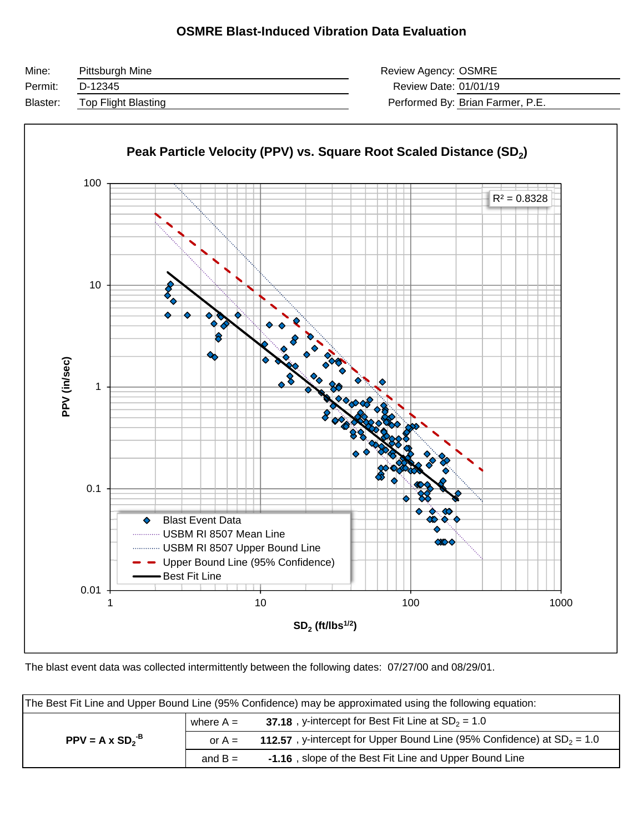#### **OSMRE Blast-Induced Vibration Data Evaluation**

| Mine:    | Pittsburgh Mine     | Review Agency: OSMRE  |                                  |
|----------|---------------------|-----------------------|----------------------------------|
| Permit:  | D-12345             | Review Date: 01/01/19 |                                  |
| Blaster: | Top Flight Blasting |                       | Performed By: Brian Farmer, P.E. |



The blast event data was collected intermittently between the following dates: 07/27/00 and 08/29/01.

|                        |             | The Best Fit Line and Upper Bound Line (95% Confidence) may be approximated using the following equation: |
|------------------------|-------------|-----------------------------------------------------------------------------------------------------------|
|                        | where $A =$ | 37.18, y-intercept for Best Fit Line at $SD_2 = 1.0$                                                      |
| $PPV = A \times SD2-B$ | or $A =$    | 112.57, y-intercept for Upper Bound Line (95% Confidence) at $SD_2 = 1.0$                                 |
|                        | and $B =$   | -1.16, slope of the Best Fit Line and Upper Bound Line                                                    |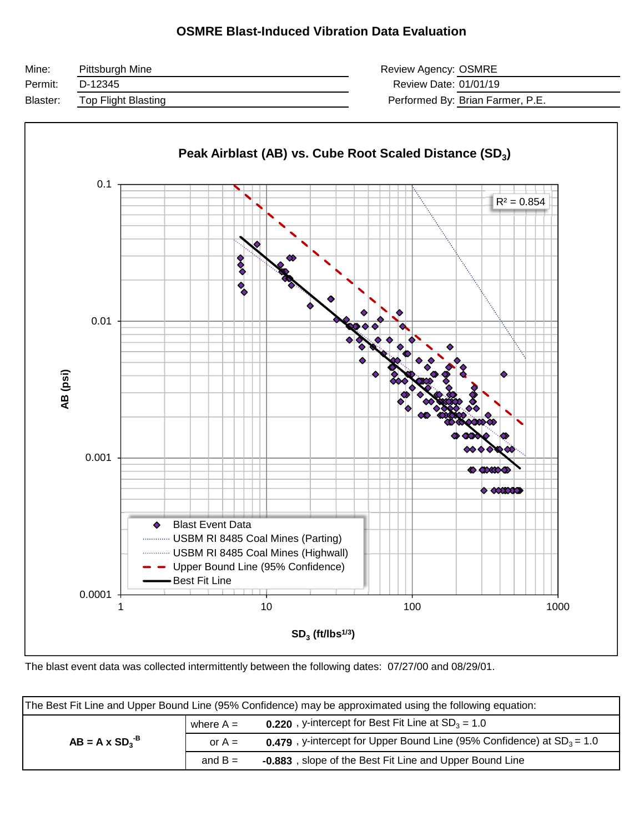#### **OSMRE Blast-Induced Vibration Data Evaluation**





The blast event data was collected intermittently between the following dates: 07/27/00 and 08/29/01.

|                       |             | The Best Fit Line and Upper Bound Line (95% Confidence) may be approximated using the following equation: |
|-----------------------|-------------|-----------------------------------------------------------------------------------------------------------|
|                       | where $A =$ | <b>0.220</b> , y-intercept for Best Fit Line at $SD_3 = 1.0$                                              |
| $AB = A \times SD3-B$ | or $A =$    | <b>0.479</b> , y-intercept for Upper Bound Line (95% Confidence) at $SD_3 = 1.0$                          |
|                       | and $B =$   | -0.883, slope of the Best Fit Line and Upper Bound Line                                                   |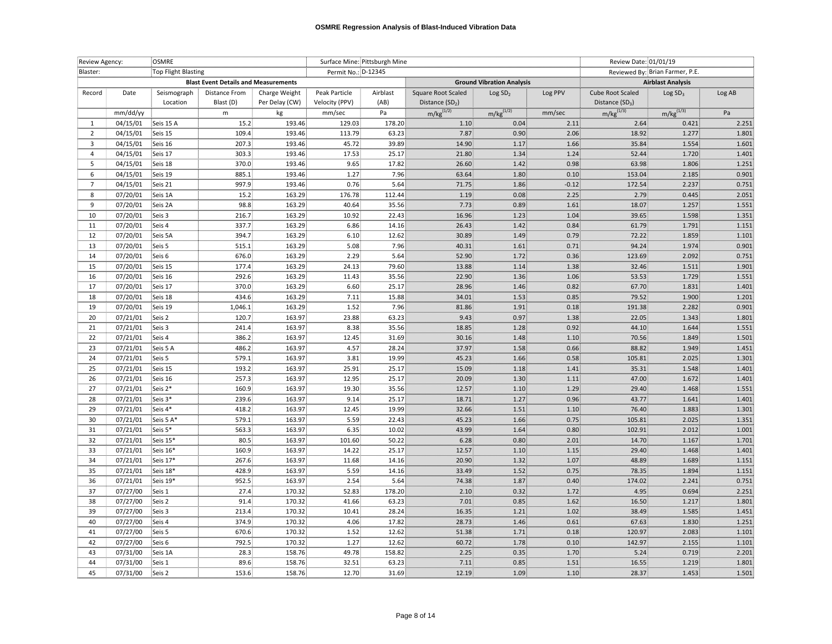| Review Agency: |          | <b>OSMRE</b>        |                                             |                |                     | Surface Mine: Pittsburgh Mine |                    |                                  |         | Review Date: 01/01/19 |                                 |        |
|----------------|----------|---------------------|---------------------------------------------|----------------|---------------------|-------------------------------|--------------------|----------------------------------|---------|-----------------------|---------------------------------|--------|
| Blaster:       |          | Top Flight Blasting |                                             |                | Permit No.: D-12345 |                               |                    |                                  |         |                       | Reviewed By: Brian Farmer, P.E. |        |
|                |          |                     | <b>Blast Event Details and Measurements</b> |                |                     |                               |                    | <b>Ground Vibration Analysis</b> |         |                       | <b>Airblast Analysis</b>        |        |
| Record         | Date     | Seismograph         | <b>Distance From</b>                        | Charge Weight  | Peak Particle       | Airblast                      | Square Root Scaled | Log SD <sub>2</sub>              | Log PPV | Cube Root Scaled      | Log SD <sub>3</sub>             | Log AB |
|                |          | Location            | Blast (D)                                   | Per Delay (CW) | Velocity (PPV)      | (AB)                          | Distance $(SD2)$   |                                  |         | Distance $(SD_3)$     |                                 |        |
|                | mm/dd/yy |                     | ${\sf m}$                                   | kg             | mm/sec              | Pa                            | $m/kg^{(1/2)}$     | $m/kg^{(1/2)}$                   | mm/sec  | $m/kg^{(1/3)}$        | $m/kg^{(1/3)}$                  | Pa     |
| 1              | 04/15/01 | Seis 15 A           | 15.2                                        | 193.46         | 129.03              | 178.20                        | 1.10:              | 0.04.                            | 2.11    | 2.64                  | 0.421                           | 2.251  |
| $\overline{2}$ | 04/15/01 | Seis 15             | 109.4                                       | 193.46         | 113.79              | 63.23                         | 7.87               | $0.90 -$                         | 2.06    | 18.92                 | 1.277                           | 1.801  |
| $\overline{3}$ | 04/15/01 | Seis 16             | 207.3                                       | 193.46         | 45.72               | 39.89                         | 14.90              | 1.17                             | 1.66    | 35.84                 | 1.554                           | 1.601  |
| $\overline{4}$ | 04/15/01 | Seis 17             | 303.3                                       | 193.46         | 17.53               | 25.17                         | 21.80              | 1.34                             | 1.24    | 52.44                 | 1.720                           | 1.401  |
| -5             | 04/15/01 | Seis 18             | 370.0                                       | 193.46         | 9.65                | 17.82                         | 26.60              | 1.42                             | 0.98    | 63.98                 | 1.806                           | 1.251  |
| 6              | 04/15/01 | Seis 19             | 885.1                                       | 193.46         | 1.27                | 7.96                          | 63.64              | 1.80                             | 0.10    | 153.04                | 2.185                           | 0.901  |
| 7              | 04/15/01 | Seis 21             | 997.9                                       | 193.46         | 0.76                | 5.64                          | 71.75              | 1.86                             | $-0.12$ | 172.54                | 2.237                           | 0.751  |
| 8              | 07/20/01 | Seis 1A             | 15.2                                        | 163.29         | 176.78              | 112.44                        | 1.19               | 0.08                             | 2.25    | 2.79                  | 0.445                           | 2.051  |
| 9              | 07/20/01 | Seis 2A             | 98.8                                        | 163.29         | 40.64               | 35.56                         | 7.73               | 0.89                             | 1.61    | 18.07                 | 1.257                           | 1.551  |
| 10             | 07/20/01 | Seis 3              | 216.7                                       | 163.29         | 10.92               | 22.43                         | 16.96              | 1.23                             | 1.04    | 39.65                 | 1.598                           | 1.351  |
| 11             | 07/20/01 | Seis 4              | 337.7                                       | 163.29         | 6.86                | 14.16                         | 26.43              | 1.42                             | 0.84    | 61.79                 | 1.791                           | 1.151  |
| 12             | 07/20/01 | Seis 5A             | 394.7                                       | 163.29         | 6.10:               | 12.62                         | 30.89              | 1.49                             | 0.79    | 72.22                 | 1.859                           | 1.101  |
| 13             | 07/20/01 | Seis 5              | 515.1                                       | 163.29         | 5.08                | 7.96                          | 40.31              | 1.61                             | 0.71    | 94.24                 | 1.974                           | 0.901  |
| 14             | 07/20/01 | Seis 6              | 676.0                                       | 163.29         | 2.29                | 5.64                          | 52.90              | 1.72                             | 0.36    | 123.69                | 2.092                           | 0.751  |
| 15             | 07/20/01 | Seis 15             | 177.4                                       | 163.29         | 24.13               | 79.60                         | 13.88              | 1.14                             | 1.38    | 32.46                 | 1.511                           | 1.901  |
| 16             | 07/20/01 | Seis 16             | 292.6                                       | 163.29         | 11.43               | 35.56                         | 22.90              | 1.36                             | 1.06    | 53.53                 | 1.729                           | 1.551  |
| 17             | 07/20/01 | Seis 17             | 370.0                                       | 163.29         | 6.60                | 25.17                         | 28.96              | 1.46                             | 0.82    | 67.70                 | 1.831                           | 1.401  |
| 18             | 07/20/01 | Seis 18             | 434.6                                       | 163.29         | 7.11                | 15.88                         | 34.01              | 1.53                             | 0.85    | 79.52                 | 1.900                           | 1.201  |
| 19             | 07/20/01 | Seis 19             | 1,046.1                                     | 163.29         | 1.52                | 7.96                          | 81.86              | 1.91                             | 0.18    | 191.38                | 2.282                           | 0.901  |
| 20             | 07/21/01 | Seis 2              | 120.7                                       | 163.97         | 23.88               | 63.23                         | 9.43               | 0.97                             | 1.38    | 22.05                 | 1.343                           | 1.801  |
| 21             | 07/21/01 | Seis 3              | 241.4                                       | 163.97         | 8.38                | 35.56                         | 18.85              | 1.28                             | 0.92    | 44.10                 | 1.644                           | 1.551  |
| 22             | 07/21/01 | Seis 4              | 386.2                                       | 163.97         | 12.45               | 31.69                         | 30.16              | 1.48                             | 1.10    | 70.56                 | 1.849                           | 1.501  |
| 23             | 07/21/01 | Seis 5 A            | 486.2                                       | 163.97         | 4.57                | 28.24                         | 37.97              | $1.58\,$                         | 0.66    | 88.82                 | 1.949                           | 1.451  |
| 24             | 07/21/01 | Seis 5              | 579.1                                       | 163.97         | 3.81                | 19.99                         | 45.23              | 1.66                             | 0.58    | 105.81                | 2.025                           | 1.301  |
| 25             | 07/21/01 | Seis 15             | 193.2                                       | 163.97         | 25.91               | 25.17                         | 15.09              | 1.18                             | 1.41    | 35.31                 | 1.548                           | 1.401  |
| 26             | 07/21/01 | Seis 16             | 257.3                                       | 163.97         | 12.95               | 25.17                         | 20.09              | 1.30                             | 1.11    | 47.00                 | 1.672                           | 1.401  |
| 27             | 07/21/01 | Seis 2*             | 160.9                                       | 163.97         | 19.30               | 35.56                         | 12.57              | 1.10                             | 1.29    | 29.40                 | 1.468                           | 1.551  |
| 28             | 07/21/01 | Seis 3*             | 239.6                                       | 163.97         | 9.14                | 25.17                         | 18.71              | 1.27                             | 0.96    | 43.77                 | 1.641                           | 1.401  |
| 29             | 07/21/01 | Seis 4*             | 418.2                                       | 163.97         | 12.45               | 19.99                         | 32.66              | 1.51                             | 1.10    | 76.40                 | 1.883                           | 1.301  |
| 30             | 07/21/01 | Seis 5 A*           | 579.1                                       | 163.97         | 5.59                | 22.43                         | 45.23              | 1.66                             | 0.75    | 105.81                | 2.025                           | 1.351  |
| 31             | 07/21/01 | Seis 5*             | 563.3                                       | 163.97         | 6.35                | 10.02                         | 43.99              | 1.64                             | 0.80    | 102.91                | 2.012                           | 1.001  |
| 32             | 07/21/01 | Seis 15*            | 80.5                                        | 163.97         | 101.60              | 50.22                         | 6.28               | 0.80                             | 2.01    | 14.70                 | 1.167                           | 1.701  |
| 33             | 07/21/01 | Seis 16*            | 160.9                                       | 163.97         | 14.22               | 25.17                         | 12.57              | 1.10                             | 1.15    | 29.40                 | 1.468                           | 1.401  |
| 34             | 07/21/01 | Seis 17*            | 267.6                                       | 163.97         | 11.68               | 14.16                         | 20.90              | 1.32:                            | 1.07    | 48.89                 | 1.689                           | 1.151  |
| 35             | 07/21/01 | Seis 18*            | 428.9                                       | 163.97         | 5.59                | 14.16                         | 33.49              | 1.52:                            | 0.75    | 78.35                 | 1.894                           | 1.151  |
| 36             | 07/21/01 | Seis 19*            | 952.5                                       | 163.97         | 2.54                | 5.64                          | 74.38              | 1.87                             | 0.40    | 174.02                | 2.241                           | 0.751  |
| 37             | 07/27/00 | Seis 1              | 27.4                                        | 170.32         | 52.83               | 178.20                        | 2.10               | 0.32                             | 1.72    | 4.95                  | 0.694                           | 2.251  |
| 38             | 07/27/00 | Seis 2              | 91.4                                        | 170.32         | 41.66               | 63.23                         | 7.01               | 0.85                             | 1.62    | 16.50                 | 1.217                           | 1.801  |
| 39             | 07/27/00 | Seis 3              | 213.4                                       | 170.32         | 10.41               | 28.24                         | 16.35              | 1.21                             | 1.02    | 38.49                 | 1.585                           | 1.451  |
| 40             | 07/27/00 | Seis 4              | 374.9                                       | 170.32         | 4.06                | 17.82                         | 28.73              | 1.46                             | 0.61    | 67.63                 | 1.830                           | 1.251  |
| 41             | 07/27/00 | Seis 5              | 670.6                                       | 170.32         | 1.52                | 12.62                         | 51.38              | 1.71                             | 0.18    | 120.97                | 2.083                           | 1.101  |
| 42             | 07/27/00 | Seis 6              | 792.5                                       | 170.32         | 1.27                | 12.62                         | 60.72              | 1.78                             | 0.10    | 142.97                | 2.155                           | 1.101  |
| 43             | 07/31/00 | Seis 1A             | 28.3                                        | 158.76         | 49.78               | 158.82                        | 2.25               | 0.35                             | 1.70    | 5.24                  | 0.719                           | 2.201  |
| 44             | 07/31/00 | Seis 1              | 89.6                                        | 158.76         | 32.51               | 63.23                         | 7.11               | 0.85                             | 1.51    | 16.55                 | 1.219                           | 1.801  |
| 45             | 07/31/00 | Seis 2              | 153.6                                       | 158.76         | 12.70               | 31.69                         | 12.19              | 1.09 <sup>1</sup>                | 1.10    | 28.37                 | 1.453                           | 1.501  |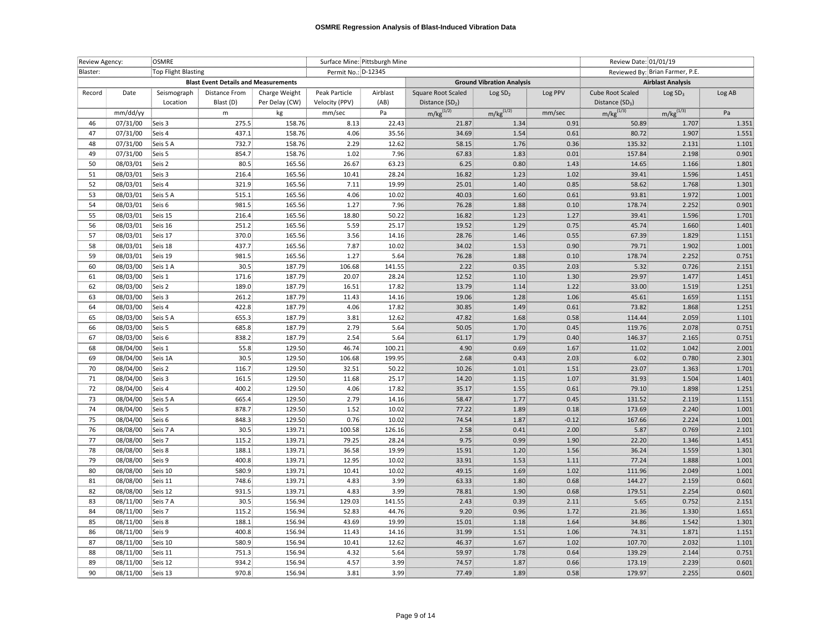| Review Agency: |                     | OSMRE       |                                             |                     |                | Surface Mine: Pittsburgh Mine |                             |                                  |                                 | Review Date: 01/01/19       |                     |        |
|----------------|---------------------|-------------|---------------------------------------------|---------------------|----------------|-------------------------------|-----------------------------|----------------------------------|---------------------------------|-----------------------------|---------------------|--------|
| Blaster:       | Top Flight Blasting |             |                                             | Permit No.: D-12345 |                |                               |                             |                                  | Reviewed By: Brian Farmer, P.E. |                             |                     |        |
|                |                     |             | <b>Blast Event Details and Measurements</b> |                     |                |                               |                             | <b>Ground Vibration Analysis</b> |                                 | <b>Airblast Analysis</b>    |                     |        |
| Record         | Date                | Seismograph | Distance From                               | Charge Weight       | Peak Particle  | Airblast                      | Square Root Scaled          | Log SD <sub>2</sub>              | Log PPV                         | Cube Root Scaled            | Log SD <sub>3</sub> | Log AB |
|                |                     | Location    | Blast (D)                                   | Per Delay (CW)      | Velocity (PPV) | (AB)                          | Distance (SD <sub>2</sub> ) |                                  |                                 | Distance (SD <sub>3</sub> ) |                     |        |
|                | mm/dd/yy            |             | m                                           | kg                  | mm/sec         | Pa                            | $m/kg^{(1/2)}$              | $m/kg^{(1/2)}$                   | mm/sec                          | $m/kg^{(1/3)}$              | $m/kg^{(1/3)}$      | Pa     |
| 46             | 07/31/00            | Seis 3      | 275.5                                       | 158.76              | 8.13           | 22.43                         | 21.87                       | 1.34                             | 0.91                            | 50.89                       | 1.707               | 1.351  |
| 47             | 07/31/00            | Seis 4      | 437.1                                       | 158.76              | 4.06           | 35.56                         | 34.69                       | 1.54                             | 0.61                            | 80.72                       | 1.907               | 1.551  |
| 48             | 07/31/00            | Seis 5 A    | 732.7                                       | 158.76              | 2.29           | 12.62                         | 58.15                       | 1.76                             | 0.36                            | 135.32                      | 2.131               | 1.101  |
| 49             | 07/31/00            | Seis 5      | 854.7                                       | 158.76              | 1.02           | 7.96                          | 67.83                       | 1.83                             | 0.01                            | 157.84                      | 2.198               | 0.901  |
| 50             | 08/03/01            | Seis 2      | 80.5                                        | 165.56              | 26.67          | 63.23                         | 6.25                        | 0.80                             | 1.43                            | 14.65                       | 1.166               | 1.801  |
| 51             | 08/03/01            | Seis 3      | 216.4                                       | 165.56              | 10.41          | 28.24                         | 16.82                       | 1.23                             | 1.02                            | 39.41                       | 1.596               | 1.451  |
| 52             | 08/03/01            | Seis 4      | 321.9                                       | 165.56              | 7.11           | 19.99                         | 25.01                       | 1.40                             | 0.85                            | 58.62                       | 1.768               | 1.301  |
| 53             | 08/03/01            | Seis 5 A    | 515.1                                       | 165.56              | 4.06           | 10.02                         | 40.03                       | $1.60\,$                         | 0.61                            | 93.81                       | 1.972               | 1.001  |
| 54             | 08/03/01            | Seis 6      | 981.5                                       | 165.56              | 1.27           | 7.96                          | 76.28                       | 1.88                             | 0.10                            | 178.74                      | 2.252               | 0.901  |
| 55             | 08/03/01            | Seis 15     | 216.4                                       | 165.56              | 18.80          | 50.22                         | 16.82                       | 1.23                             | 1.27                            | 39.41                       | 1.596               | 1.701  |
| 56             | 08/03/01            | Seis 16     | 251.2                                       | 165.56              | 5.59           | 25.17                         | 19.52                       | 1.29                             | 0.75                            | 45.74                       | 1.660               | 1.401  |
| 57             | 08/03/01            | Seis 17     | 370.0                                       | 165.56              | 3.56           | 14.16                         | 28.76                       | 1.46                             | 0.55                            | 67.39                       | 1.829               | 1.151  |
| 58             | 08/03/01            | Seis 18     | 437.7                                       | 165.56              | 7.87           | 10.02                         | 34.02                       | 1.53                             | 0.90 <sub>1</sub>               | 79.71                       | 1.902               | 1.001  |
| 59             | 08/03/01            | Seis 19     | 981.5                                       | 165.56              | 1.27           | 5.64                          | 76.28                       | 1.88                             | 0.10                            | 178.74                      | 2.252               | 0.751  |
| 60             | 08/03/00            | Seis 1 A    | 30.5 <sub>1</sub>                           | 187.79              | 106.68         | 141.55                        | 2.22                        | 0.35                             | 2.03                            | 5.32                        | 0.726               | 2.151  |
| 61             | 08/03/00            | Seis 1      | 171.6                                       | 187.79              | 20.07          | 28.24                         | 12.52                       | 1.10                             | 1.30                            | 29.97                       | 1.477               | 1.451  |
| 62             | 08/03/00            | Seis 2      | 189.0                                       | 187.79              | 16.51          | 17.82                         | 13.79                       | 1.14                             | 1.22                            | 33.00                       | 1.519               | 1.251  |
| 63             | 08/03/00            | Seis 3      | 261.2                                       | 187.79              | 11.43          | 14.16                         | 19.06                       | 1.28                             | 1.06                            | 45.61                       | 1.659               | 1.151  |
| 64             | 08/03/00            | Seis 4      | 422.8                                       | 187.79              | 4.06           | 17.82                         | 30.85                       | 1.49                             | 0.61                            | 73.82                       | 1.868               | 1.251  |
| 65             | 08/03/00            | Seis 5 A    | 655.3                                       | 187.79              | 3.81           | 12.62                         | 47.82                       | 1.68                             | 0.58                            | 114.44                      | 2.059               | 1.101  |
| 66             | 08/03/00            | Seis 5      | 685.8                                       | 187.79              | 2.79           | 5.64                          | 50.05                       | 1.70:                            | 0.45                            | 119.76                      | 2.078               | 0.751  |
| 67             | 08/03/00            | Seis 6      | 838.2                                       | 187.79              | 2.54           | 5.64                          | 61.17                       | 1.79                             | 0.40                            | 146.37                      | 2.165               | 0.751  |
| 68             | 08/04/00            | Seis 1      | 55.8                                        | 129.50              | 46.74          | 100.21                        | 4.90                        | 0.69                             | 1.67                            | 11.02                       | 1.042               | 2.001  |
| 69             | 08/04/00            | Seis 1A     | 30.5                                        | 129.50              | 106.68         | 199.95                        | 2.68                        | 0.43                             | 2.03                            | 6.02                        | 0.780               | 2.301  |
| 70             | 08/04/00            | Seis 2      | 116.7                                       | 129.50              | 32.51          | 50.22                         | 10.26                       | $1.01$                           | 1.51                            | 23.07                       | 1.363               | 1.701  |
| 71             | 08/04/00            | Seis 3      | 161.5                                       | 129.50              | 11.68          | 25.17                         | 14.20                       | 1.15                             | 1.07                            | 31.93                       | 1.504               | 1.401  |
| 72             | 08/04/00            | Seis 4      | 400.2                                       | 129.50              | 4.06           | 17.82                         | 35.17                       | 1.55                             | 0.61                            | 79.10                       | 1.898               | 1.251  |
| 73             | 08/04/00            | Seis 5 A    | 665.4                                       | 129.50              | 2.79           | 14.16                         | 58.47                       | 1.77                             | 0.45                            | 131.52                      | 2.119               | 1.151  |
| 74             | 08/04/00            | Seis 5      | 878.7                                       | 129.50              | 1.52           | 10.02                         | 77.22                       | 1.89                             | 0.18                            | 173.69                      | 2.240               | 1.001  |
| 75             | 08/04/00            | Seis 6      | 848.3                                       | 129.50              | 0.76           | 10.02                         | 74.54                       | 1.87                             | $-0.12$                         | 167.66                      | 2.224               | 1.001  |
| 76             | 08/08/00            | Seis 7 A    | 30.5                                        | 139.71              | 100.58         | 126.16                        | 2.58                        | 0.41                             | 2.00                            | 5.87                        | 0.769               | 2.101  |
| 77             | 08/08/00            | Seis 7      | 115.2                                       | 139.71              | 79.25          | 28.24                         | 9.75                        | 0.99                             | 1.90                            | 22.20                       | 1.346               | 1.451  |
| 78             | 08/08/00            | Seis 8      | 188.1                                       | 139.71              | 36.58          | 19.99                         | 15.91                       | 1.20                             | 1.56                            | 36.24                       | 1.559               | 1.301  |
| 79             | 08/08/00            | Seis 9      | 400.8                                       | 139.71              | 12.95          | 10.02                         | 33.91                       | 1.53                             | 1.11                            | 77.24                       | 1.888               | 1.001  |
| 80             | 08/08/00            | Seis 10     | 580.9                                       | 139.71              | 10.41          | 10.02                         | 49.15                       | 1.69                             | 1.02                            | 111.96                      | 2.049               | 1.001  |
| 81             | 08/08/00            | Seis 11     | 748.6                                       | 139.71              | 4.83           | 3.99                          | 63.33                       | 1.80                             | 0.68                            | 144.27                      | 2.159               | 0.601  |
| 82             | 08/08/00            | Seis 12     | 931.5                                       | 139.71              | 4.83           | 3.99                          | 78.81                       | 1.90                             | 0.68                            | 179.51                      | 2.254               | 0.601  |
| 83             | 08/11/00            | Seis 7 A    | $30.5\,$                                    | 156.94              | 129.03         | 141.55                        | 2.43                        | 0.39                             | 2.11                            | 5.65                        | 0.752               | 2.151  |
| 84             | 08/11/00            | Seis 7      | 115.2                                       | 156.94              | 52.83          | 44.76                         | 9.20                        | 0.96                             | 1.72                            | 21.36                       | 1.330               | 1.651  |
| 85             | 08/11/00            | Seis 8      | 188.1                                       | 156.94              | 43.69          | 19.99                         | 15.01                       | 1.18                             | 1.64                            | 34.86                       | 1.542               | 1.301  |
| 86             | 08/11/00            | Seis 9      | 400.8                                       | 156.94              | 11.43          | 14.16                         | 31.99                       | 1.51                             | 1.06                            | 74.31                       | 1.871               | 1.151  |
| 87             | 08/11/00            | Seis 10     | 580.9                                       | 156.94              | 10.41          | 12.62                         | 46.37                       | 1.67                             | 1.02                            | 107.70                      | 2.032               | 1.101  |
| 88             | 08/11/00            | Seis 11     | 751.3                                       | 156.94              | 4.32           | 5.64                          | 59.97                       | 1.78                             | 0.64                            | 139.29                      | 2.144               | 0.751  |
| 89             | 08/11/00            | Seis 12     | 934.2                                       | 156.94              | 4.57           | 3.99                          | 74.57                       | 1.87                             | 0.66                            | 173.19                      | 2.239               | 0.601  |
| 90             | 08/11/00            | Seis 13     | 970.8                                       | 156.94              | 3.81           | 3.99                          | 77.49                       | 1.89                             | 0.581                           | 179.97                      | 2.255               | 0.601  |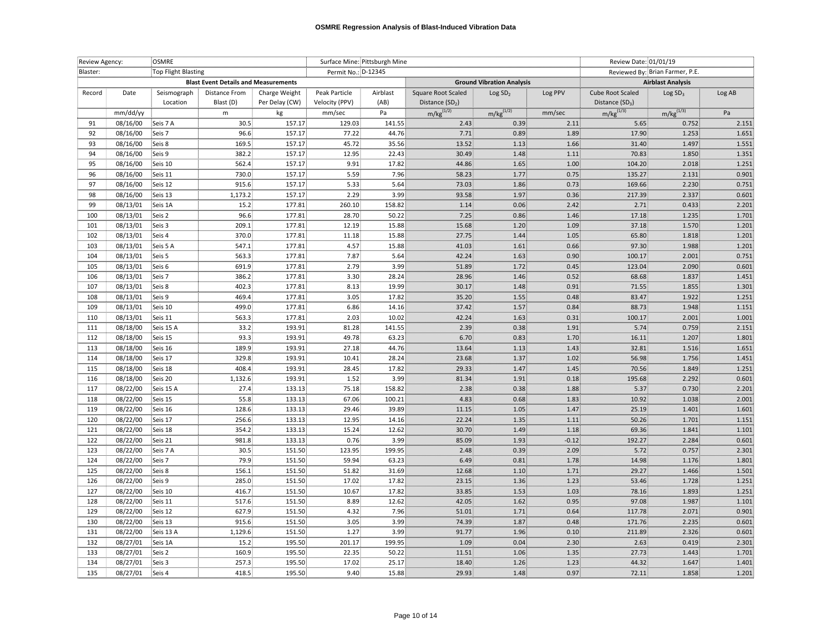| Review Agency: |                      | Surface Mine: Pittsburgh Mine<br><b>OSMRE</b> |                                             |                  |                                                                |               |                             |                                  | Review Date: 01/01/19 |                                 |                          |                |
|----------------|----------------------|-----------------------------------------------|---------------------------------------------|------------------|----------------------------------------------------------------|---------------|-----------------------------|----------------------------------|-----------------------|---------------------------------|--------------------------|----------------|
| Blaster:       |                      | Top Flight Blasting                           |                                             |                  | Permit No.: D-12345                                            |               |                             |                                  |                       | Reviewed By: Brian Farmer, P.E. |                          |                |
|                |                      |                                               | <b>Blast Event Details and Measurements</b> |                  |                                                                |               |                             | <b>Ground Vibration Analysis</b> |                       |                                 | <b>Airblast Analysis</b> |                |
| Record         | Date                 | Seismograph                                   | <b>Distance From</b>                        | Charge Weight    | Peak Particle                                                  | Airblast      | Square Root Scaled          | Log SD <sub>2</sub>              | Log PPV               | Cube Root Scaled                | Log SD <sub>3</sub>      | Log AB         |
|                |                      | Location                                      | Blast (D)                                   | Per Delay (CW)   | Velocity (PPV)                                                 | (AB)          | Distance (SD <sub>2</sub> ) |                                  |                       | Distance $(SD_3)$               |                          |                |
|                | mm/dd/yy             |                                               | ${\sf m}$                                   | kg               | mm/sec                                                         | Pa            | $m/kg^{(1/2)}$              | $m/kg^{(1/2)}$                   | mm/sec                | $m/kg^{(1/3)}$                  | $m/kg^{(1/3)}$           | Pa             |
| 91             | 08/16/00             | Seis 7 A                                      | 30.5                                        | 157.17           | 129.03                                                         | 141.55        | 2.43.                       | 0.39.                            | 2.11                  | 5.65                            | 0.752                    | 2.151          |
| 92             | 08/16/00             | Seis 7                                        | 96.6                                        | 157.17           | 77.22                                                          | 44.76         | 7.71                        | 0.89                             | 1.89                  | 17.90                           | 1.253                    | 1.651          |
| 93             | 08/16/00             | Seis 8                                        | 169.5                                       | 157.17           | 45.72                                                          | 35.56         | 13.52                       | 1.13                             | 1.66                  | 31.40                           | 1.497                    | 1.551          |
| 94             | 08/16/00             | Seis 9                                        | 382.2                                       | 157.17           | 12.95                                                          | 22.43         | 30.49                       | 1.48                             | 1.11                  | 70.83                           | 1.850                    | 1.351          |
| 95             | 08/16/00             | Seis 10                                       | 562.4                                       | 157.17           | 9.91                                                           | 17.82         | 44.86                       | 1.65                             | 1.00                  | 104.20                          | 2.018                    | 1.251          |
| 96             | 08/16/00             | Seis 11                                       | 730.0                                       | 157.17           | 5.59                                                           | 7.96          | 58.23                       | 1.77                             | 0.75                  | 135.27                          | 2.131                    | 0.901          |
| 97             | 08/16/00             | Seis 12                                       | 915.6                                       | 157.17           | 5.33                                                           | 5.64          | 73.03                       | 1.86                             | 0.73                  | 169.66                          | 2.230                    | 0.751          |
| 98             | 08/16/00             | Seis 13                                       | 1,173.2                                     | 157.17           | 2.29                                                           | 3.99          | 93.58                       | 1.97                             | 0.36                  | 217.39                          | 2.337                    | 0.601          |
| 99             | 08/13/01             | Seis 1A                                       | 15.2                                        | 177.81           | 260.10                                                         | 158.82        | 1.14                        | 0.06                             | 2.42                  | 2.71                            | 0.433                    | 2.201          |
| 100            | 08/13/01             | Seis 2                                        | 96.6                                        | 177.81           | 28.70                                                          | 50.22         | $7.25$                      | $0.86\,$                         | 1.46                  | 17.18                           | 1.235                    | 1.701          |
| 101            | 08/13/01             | Seis 3                                        | 209.1                                       | 177.81           | 12.19                                                          | 15.88         | 15.68                       | 1.20                             | 1.09                  | 37.18                           | 1.570                    | 1.201          |
| 102            | 08/13/01             | Seis 4                                        | 370.0                                       | 177.81           | $\begin{array}{r} \textbf{11.18} \\ \textbf{4.57} \end{array}$ | 15.88         | 27.75<br>41.03              | 1.44                             | 1.05                  | 65.80                           | 1.818                    | 1.201          |
| 103            | 08/13/01             | Seis 5 A                                      | 547.1                                       | 177.81           |                                                                | 15.88         |                             | 1.61                             | 0.66                  | 97.30                           | 1.988                    | 1.201          |
| 104            | 08/13/01             | Seis 5                                        | 563.3                                       | 177.81           | 7.87                                                           | 5.64          | 42.24                       | 1.63                             | 0.90 <sub>1</sub>     | 100.17                          | 2.001                    | 0.751          |
| 105            | 08/13/01             | Seis 6                                        | 691.9                                       | 177.81           | 2.79                                                           | 3.99          | 51.89                       | 1.72                             | 0.45                  | 123.04                          | 2.090                    | 0.601          |
| 106            | 08/13/01             | Seis 7                                        | 386.2                                       | 177.81           | 3.30                                                           | 28.24         | 28.96                       | 1.46                             | 0.52                  | 68.68                           | 1.837                    | 1.451          |
| 107            | 08/13/01             | Seis 8                                        | 402.3                                       | 177.81           | 8.13                                                           | 19.99         | 30.17                       | 1.48                             | 0.91                  | 71.55                           | 1.855                    | 1.301          |
| 108            | 08/13/01             | Seis 9                                        | 469.4                                       | 177.81           | 3.05                                                           | 17.82         | 35.20                       | 1.55                             | 0.48                  | 83.47                           | 1.922                    | 1.251          |
| 109            | 08/13/01             | Seis 10                                       | 499.0                                       | 177.81           | 6.86                                                           | 14.16         | 37.42                       | 1.57                             | 0.84                  | 88.73                           | 1.948                    | 1.151          |
| 110            | 08/13/01             | Seis 11                                       | 563.3                                       | 177.81           | 2.03                                                           | 10.02         | 42.24                       | 1.63                             | 0.31                  | 100.17                          | 2.001                    | 1.001          |
| 111            | 08/18/00             | Seis 15 A                                     | 33.2                                        | 193.91           | 81.28                                                          | 141.55        | 2.39                        | 0.38                             | 1.91                  | 5.74                            | 0.759                    | 2.151          |
| 112            | 08/18/00             | Seis 15                                       | 93.3                                        | 193.91           | 49.78                                                          | 63.23         | 6.70                        | 0.83                             | 1.70                  | 16.11                           | 1.207                    | 1.801          |
| 113            | 08/18/00             | Seis 16                                       | 189.9                                       | 193.91           | 27.18                                                          | 44.76         | 13.64                       | $1.13\,$                         | 1.43                  | 32.81                           | 1.516                    | 1.651          |
| 114            | 08/18/00             | Seis 17                                       | 329.8                                       | 193.91           | 10.41                                                          | 28.24         | 23.68                       | 1.37                             | 1.02<br>1.45          | 56.98                           | 1.756                    | 1.451          |
| 115<br>116     | 08/18/00             | Seis 18<br>Seis 20                            | 408.4                                       | 193.91<br>193.91 | 28.45                                                          | 17.82<br>3.99 | 29.33<br>81.34              | 1.47<br>1.91                     | 0.18                  | 70.56<br>195.68                 | 1.849<br>2.292           | 1.251<br>0.601 |
| 117            | 08/18/00<br>08/22/00 | Seis 15 A                                     | 1,132.6<br>27.4                             | 133.13           | 1.52<br>75.18                                                  | 158.82        | 2.38                        | 0.38                             | 1.88                  | 5.37                            | 0.730                    | 2.201          |
| 118            | 08/22/00             | Seis 15                                       | 55.8                                        | 133.13           | 67.06                                                          | 100.21        | 4.83                        | 0.68                             | 1.83                  | 10.92                           | 1.038                    | 2.001          |
| 119            | 08/22/00             | Seis 16                                       | 128.6                                       | 133.13           | 29.46                                                          | 39.89         | 11.15                       | 1.05                             | 1.47                  | 25.19                           | 1.401                    | 1.601          |
| 120            | 08/22/00             | Seis 17                                       | 256.6                                       | 133.13           | 12.95                                                          | 14.16         | 22.24                       | 1.35                             | 1.11                  | 50.26                           | 1.701                    | 1.151          |
| 121            | 08/22/00             | Seis 18                                       | 354.2                                       | 133.13           | 15.24                                                          | 12.62         | 30.70                       | 1.49                             | 1.18                  | 69.36                           | 1.841                    | 1.101          |
| 122            | 08/22/00             | Seis 21                                       | 981.8                                       | 133.13           | 0.76                                                           | 3.99          | 85.09                       | 1.93                             | $-0.12$               | 192.27                          | 2.284                    | 0.601          |
| 123            | 08/22/00             | Seis 7 A                                      | 30.5                                        | 151.50           | 123.95                                                         | 199.95        | 2.48                        | 0.39 <sup>1</sup>                | 2.09                  | 5.72                            | 0.757                    | 2.301          |
| 124            | 08/22/00             | Seis 7                                        | 79.9                                        | 151.50           | 59.94                                                          | 63.23         | 6.49                        | 0.81                             | 1.78                  | 14.98                           | 1.176                    | 1.801          |
| 125            | 08/22/00             | Seis 8                                        | 156.1                                       | 151.50           | 51.82                                                          | 31.69         | 12.68                       | 1.10:                            | 1.71                  | 29.27                           | 1.466                    | 1.501          |
| 126            | 08/22/00             | Seis 9                                        | 285.0                                       | 151.50           | 17.02                                                          | 17.82         | 23.15                       | 1.36                             | 1.23                  | 53.46                           | 1.728                    | 1.251          |
| 127            | 08/22/00             | Seis 10                                       | 416.7                                       | 151.50           | 10.67                                                          | 17.82         | 33.85                       | 1.53                             | 1.03                  | 78.16                           | 1.893                    | 1.251          |
| 128            | 08/22/00             | Seis 11                                       | 517.6                                       | 151.50           | 8.89                                                           | 12.62         | 42.05                       | 1.62                             | 0.95                  | 97.08                           | 1.987                    | 1.101          |
| 129            | 08/22/00             | Seis 12                                       | 627.9                                       | 151.50           | 4.32                                                           | 7.96          | 51.01                       | 1.71                             | 0.64                  | 117.78                          | 2.071                    | 0.901          |
| 130            | 08/22/00             | Seis 13                                       | 915.6                                       | 151.50           | 3.05                                                           | 3.99          | 74.39                       | 1.87                             | 0.48                  | 171.76                          | 2.235                    | 0.601          |
| 131            | 08/22/00             | Seis 13 A                                     | 1,129.6                                     | 151.50           | 1.27                                                           | 3.99          | 91.77                       | 1.96                             | 0.10                  | 211.89                          | 2.326                    | 0.601          |
| 132            | 08/27/01             | Seis 1A                                       | 15.2:                                       | 195.50           | 201.17                                                         | 199.95        | 1.09                        | 0.04                             | 2.30                  | 2.63                            | 0.419                    | 2.301          |
| 133            | 08/27/01             | Seis 2                                        | 160.9                                       | 195.50           | 22.35                                                          | 50.22         | 11.51                       | 1.06                             | 1.35                  | 27.73                           | 1.443                    | 1.701          |
| 134            | 08/27/01             | Seis 3                                        | 257.3                                       | 195.50           | 17.02                                                          | 25.17         | 18.40                       | 1.26                             | 1.23                  | 44.32                           | 1.647                    | 1.401          |
| 135            | 08/27/01             | Seis 4                                        | 418.5                                       | 195.50           | 9.40                                                           | 15.88         | 29.93                       | 1.48                             | 0.97                  | 72.11                           | 1.858                    | 1.201          |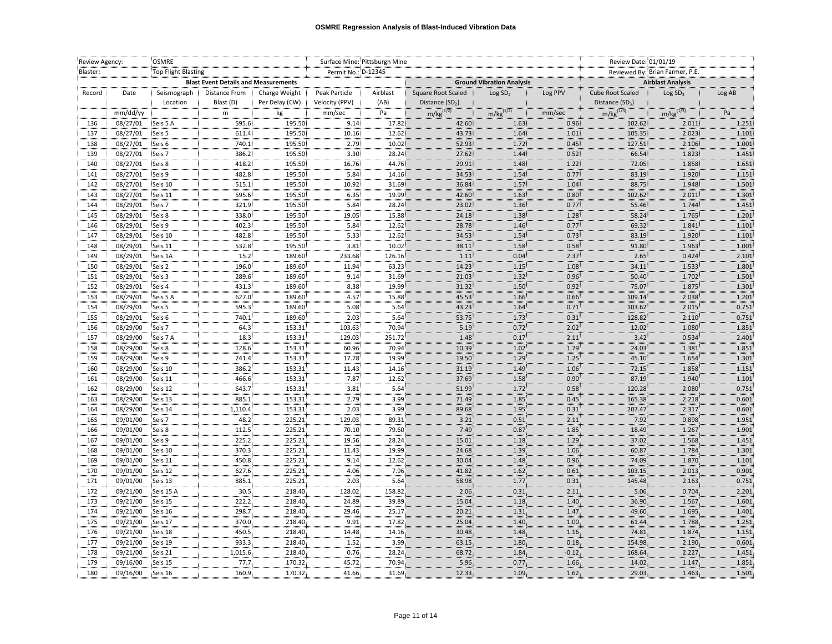|                                 | Review Agency:<br><b>OSMRE</b> |                      |                     |                                             | Surface Mine: Pittsburgh Mine |                |              | Review Date: 01/01/19               |                     |              |                          |                     |                |
|---------------------------------|--------------------------------|----------------------|---------------------|---------------------------------------------|-------------------------------|----------------|--------------|-------------------------------------|---------------------|--------------|--------------------------|---------------------|----------------|
| Blaster:<br>Top Flight Blasting |                                |                      | Permit No.: D-12345 |                                             |                               |                |              | Reviewed By: Brian Farmer, P.E.     |                     |              |                          |                     |                |
|                                 |                                |                      |                     | <b>Blast Event Details and Measurements</b> |                               |                |              | <b>Ground Vibration Analysis</b>    |                     |              | <b>Airblast Analysis</b> |                     |                |
|                                 | Record                         | Date                 | Seismograph         | <b>Distance From</b>                        | Charge Weight                 | Peak Particle  | Airblast     | Square Root Scaled                  | Log SD <sub>2</sub> | Log PPV      | Cube Root Scaled         | Log SD <sub>3</sub> | Log AB         |
|                                 |                                |                      | Location            | Blast (D)                                   | Per Delay (CW)                | Velocity (PPV) | (AB)         | Distance $(SD2)$                    |                     |              | Distance $(SD_3)$        |                     |                |
|                                 |                                | mm/dd/yy             |                     | m                                           | kg                            | mm/sec         | Pa           | $m/kg^{(1/2)}$                      | $m/kg^{(1/2)}$      | mm/sec       | $m/kg^{(1/3)}$           | $m/kg^{(1/3)}$      | Pa             |
|                                 | 136                            | 08/27/01             | Seis 5 A            | 595.6                                       | 195.50                        | 9.14           | 17.82        | 42.60                               | 1.63:               | 0.96         | 102.62                   | 2.011               | 1.251          |
|                                 | 137                            | 08/27/01             | Seis 5              | 611.4                                       | 195.50                        | 10.16          | 12.62        | 43.73                               | 1.64                | 1.01         | 105.35                   | 2.023               | 1.101          |
|                                 | 138                            | 08/27/01             | Seis 6              | 740.1                                       | 195.50                        | 2.79           | 10.02        | 52.93                               | 1.72                | 0.45         | 127.51                   | 2.106               | 1.001          |
|                                 | 139                            | 08/27/01             | Seis 7              | 386.2                                       | 195.50                        | 3.30           | 28.24        | 27.62                               | 1.44                | 0.52         | 66.54                    | 1.823               | 1.451          |
|                                 | 140                            | 08/27/01             | Seis 8              | 418.2                                       | 195.50                        | 16.76          | 44.76        | 29.91                               | 1.48                | 1.22         | 72.05                    | 1.858               | 1.651          |
|                                 | 141                            | 08/27/01             | Seis 9              | 482.8                                       | 195.50                        | 5.84           | 14.16        | 34.53                               | 1.54                | 0.77         | 83.19                    | 1.920               | 1.151          |
|                                 | 142                            | 08/27/01             | Seis 10             | 515.1                                       | 195.50                        | 10.92          | 31.69        | 36.84                               | 1.57                | 1.04         | 88.75                    | 1.948               | 1.501          |
|                                 | 143                            | 08/27/01             | Seis 11             | 595.6                                       | 195.50                        | 6.35           | 19.99        | 42.60                               | 1.63                | 0.80         | 102.62                   | 2.011               | 1.301          |
|                                 | 144                            | 08/29/01             | Seis 7              | 321.9                                       | 195.50                        | 5.84           | 28.24        | 23.02                               | 1.36                | 0.77         | 55.46                    | 1.744               | 1.451          |
|                                 | 145                            | 08/29/01             | Seis 8              | 338.0                                       | 195.50                        | 19.05          | 15.88        | 24.18                               | 1.38                | 1.28         | 58.24                    | 1.765               | 1.201          |
|                                 | 146                            | 08/29/01             | Seis 9              | 402.3                                       | 195.50                        | 5.84           | 12.62        | 28.78                               | 1.46                | 0.77         | 69.32                    | 1.841               | 1.101          |
|                                 | 147                            | 08/29/01             | Seis 10             | 482.8                                       | 195.50                        | 5.33           | 12.62        | 34.53                               | 1.54                | 0.73         | 83.19                    | 1.920               | 1.101          |
|                                 | 148                            | 08/29/01             | Seis 11             | 532.8                                       | 195.50                        | 3.81           | 10.02        | 38.11                               | 1.58                | 0.58         | 91.80                    | 1.963               | 1.001          |
|                                 | 149                            | 08/29/01             | Seis 1A             | 15.2                                        | 189.60                        | 233.68         | 126.16       | $\begin{array}{c} 1.11 \end{array}$ | 0.04                | 2.37         | 2.65                     | 0.424               | 2.101          |
|                                 | 150                            | 08/29/01             | Seis 2              | 196.0                                       | 189.60                        | 11.94          | 63.23        | 14.23                               | 1.15                | 1.08         | 34.11                    | 1.533               | 1.801          |
|                                 | 151                            | 08/29/01             | Seis 3              | 289.6                                       | 189.60                        | 9.14           | 31.69        | 21.03                               | 1.32                | 0.96         | 50.40                    | 1.702               | 1.501          |
|                                 | 152                            | 08/29/01             | Seis 4              | 431.3                                       | 189.60                        | 8.38:          | 19.99        | 31.32                               | 1.50                | 0.92         | 75.07                    | 1.875               | 1.301          |
|                                 | 153                            | 08/29/01             | Seis 5 A            | 627.0                                       | 189.60                        | 4.57           | 15.88        | 45.53                               | 1.66                | 0.66         | 109.14                   | 2.038               | 1.201          |
|                                 | 154                            | 08/29/01             | Seis 5              | 595.3                                       | 189.60                        | 5.08           | 5.64         | 43.23                               | 1.64                | 0.71         | 103.62                   | 2.015               | 0.751          |
|                                 | 155                            | 08/29/01             | Seis 6              | 740.1                                       | 189.60                        | 2.03           | 5.64         | 53.75                               | 1.73                | 0.31         | 128.82                   | 2.110               | 0.751          |
|                                 | 156                            | 08/29/00             | Seis 7              | 64.3                                        | 153.31                        | 103.63         | 70.94        | 5.19                                | 0.72                | 2.02         | 12.02                    | 1.080               | 1.851          |
|                                 | 157                            | 08/29/00             | Seis 7 A            | 18.3                                        | 153.31                        | 129.03         | 251.72       | 1.48                                | 0.17                | 2.11         | 3.42                     | 0.534               | 2.401          |
|                                 | 158                            | 08/29/00             | Seis 8              | 128.6                                       | 153.31                        | 60.96          | 70.94        | 10.39                               | 1.02                | 1.79         | 24.03                    | 1.381               | 1.851          |
|                                 | 159                            | 08/29/00             | Seis 9              | 241.4                                       | 153.31                        | 17.78          | 19.99        | 19.50                               | 1.29.               | 1.25         | 45.10                    | 1.654               | 1.301          |
|                                 | 160                            | 08/29/00             | Seis 10             | 386.2                                       | 153.31                        | 11.43          | 14.16        | 31.19                               | 1.49                | 1.06         | 72.15                    | 1.858               | 1.151          |
|                                 | 161                            | 08/29/00             | Seis 11             | 466.6                                       | 153.31                        | 7.87           | 12.62        | 37.69                               | 1.58                | 0.90         | 87.19                    | 1.940               | 1.101          |
|                                 | 162                            | 08/29/00             | Seis 12             | 643.7                                       | 153.31                        | 3.81           | 5.64         | 51.99                               | 1.72                | 0.58         | 120.28                   | 2.080               | 0.751          |
|                                 | 163<br>164                     | 08/29/00             | Seis 13<br>Seis 14  | 885.1<br>1,110.4                            | 153.31<br>153.31              | 2.79<br>2.03   | 3.99<br>3.99 | 71.49<br>89.68                      | 1.85<br>1.95        | 0.45<br>0.31 | 165.38<br>207.47         | 2.218<br>2.317      | 0.601<br>0.601 |
|                                 | 165                            | 08/29/00<br>09/01/00 | Seis 7              | 48.2                                        | 225.21                        | 129.03         | 89.31        | 3.21                                | 0.51                | 2.11         | 7.92                     | 0.898               | 1.951          |
|                                 | 166                            | 09/01/00             | Seis 8              | 112.5                                       | 225.21                        | 70.10          | 79.60        | 7.49                                | 0.87                | 1.85         | 18.49                    | 1.267               | 1.901          |
|                                 | 167                            | 09/01/00             | Seis 9              | 225.2                                       | 225.21                        | 19.56          | 28.24        | 15.01                               | 1.18                | 1.29         | 37.02                    | 1.568               | 1.451          |
|                                 | 168                            | 09/01/00             | Seis 10             | 370.3                                       | 225.21                        | 11.43          | 19.99        | 24.68                               | 1.39                | 1.06         | 60.87                    | 1.784               | 1.301          |
|                                 | 169                            | 09/01/00             | Seis 11             | 450.8                                       | 225.21                        | 9.14           | 12.62        | 30.04                               | 1.48                | 0.96         | 74.09                    | 1.870               | 1.101          |
|                                 | 170                            | 09/01/00             | Seis 12             | 627.6                                       | 225.21                        | 4.06           | 7.96         | 41.82                               | 1.62                | 0.61         | 103.15                   | 2.013               | 0.901          |
|                                 | 171                            | 09/01/00             | Seis 13             | 885.1                                       | 225.21                        | 2.03           | 5.64         | 58.98                               | 1.77                | 0.31         | 145.48                   | 2.163               | 0.751          |
|                                 | 172                            | 09/21/00             | Seis 15 A           | 30.5                                        | 218.40                        | 128.02         | 158.82       | 2.06                                | 0.31                | 2.11         | 5.06                     | 0.704               | 2.201          |
|                                 | 173                            | 09/21/00             | Seis 15             | 222.2                                       | 218.40                        | 24.89          | 39.89        |                                     |                     |              | 36.90                    | 1.567               | 1.601          |
|                                 | 174                            | 09/21/00             | Seis 16             | 298.7                                       | 218.40                        | 29.46          | 25.17        | 15.04                               | $1.18$<br>1.31      | 1.40         | 49.60                    | 1.695               | 1.401          |
|                                 | 175                            | 09/21/00             | Seis 17             | 370.0                                       | 218.40                        | 9.91           | 17.82        | 20.21<br>25.04                      | 1.40                | 1.47<br>1.00 | 61.44                    | 1.788               | 1.251          |
|                                 | 176                            | 09/21/00             | Seis 18             | 450.5                                       | 218.40                        | 14.48          | 14.16        | 30.48                               | 1.48                | 1.16         | 74.81                    | 1.874               | 1.151          |
|                                 | 177                            | 09/21/00             | Seis 19             | 933.3                                       | 218.40                        | 1.52.          | 3.99         | 63.15                               | 1.80                | 0.18         | 154.98                   | 2.190               | 0.601          |
|                                 | 178                            | 09/21/00             | Seis 21             | 1,015.6                                     | 218.40                        | 0.76           | 28.24        | 68.72                               | 1.84                | $-0.12$      | 168.64                   | 2.227               | 1.451          |
|                                 | 179                            | 09/16/00             | Seis 15             | 77.7                                        | 170.32                        | 45.72          | 70.94        | 5.96                                | 0.77                | 1.66         | 14.02                    | 1.147               | 1.851          |
|                                 | 180                            | 09/16/00             | Seis 16             | 160.9                                       | 170.32                        | 41.66          | 31.69        | 12.33                               | 1.09                | 1.62         | 29.03                    | 1.463               | 1.501          |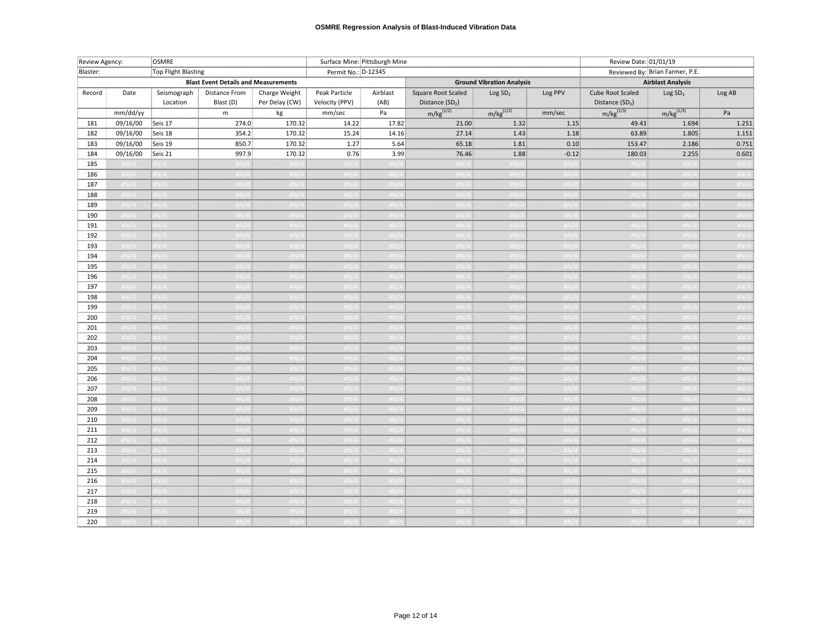| Review Agency:<br>OSMRE |                     | Surface Mine: Pittsburgh Mine |                                             |                                 |                                 |                  | Review Date: 01/01/19                             |                                  |         |                                                 |                          |        |
|-------------------------|---------------------|-------------------------------|---------------------------------------------|---------------------------------|---------------------------------|------------------|---------------------------------------------------|----------------------------------|---------|-------------------------------------------------|--------------------------|--------|
| Blaster:                | Top Flight Blasting |                               | Permit No.: D-12345                         |                                 |                                 |                  |                                                   | Reviewed By: Brian Farmer, P.E.  |         |                                                 |                          |        |
|                         |                     |                               | <b>Blast Event Details and Measurements</b> |                                 |                                 |                  |                                                   | <b>Ground Vibration Analysis</b> |         |                                                 | <b>Airblast Analysis</b> |        |
| Record                  | Date                | Seismograph<br>Location       | <b>Distance From</b><br>Blast (D)           | Charge Weight<br>Per Delay (CW) | Peak Particle<br>Velocity (PPV) | Airblast<br>(AB) | Square Root Scaled<br>Distance (SD <sub>2</sub> ) | Log SD <sub>2</sub>              | Log PPV | Cube Root Scaled<br>Distance (SD <sub>3</sub> ) | Log SD <sub>3</sub>      | Log AB |
|                         | mm/dd/yy            |                               | m                                           | $\mathsf{kg}$<br>.              | $\text{mm/sec}$                 | Pa               | $m/kg^{(1/2)}$ $m/kg^{(1/2)}$ $mm/sec$            |                                  |         | $m/kg^{(1/3)}$                                  | $m/kg^{(1/3)}$           | Pa     |
| 181                     | 09/16/00            | Seis 17                       | 274.0                                       | 170.32                          | 14.22                           | 17.82            | 21.00                                             | 1.32.                            | 1.15    | 49.43                                           | 1.694                    | 1.251  |
| 182                     | 09/16/00            | Seis 18                       | 354.2                                       | 170.32                          | 15.24                           | 14.16            | 27.14                                             | 1.43                             | 1.18    | 63.89                                           | 1.805                    | 1.151  |
| 183                     | 09/16/00            | Seis 19                       | 850.7                                       | 170.32                          | 1.27                            | 5.64             | 65.18                                             | 1.81                             | 0.10    | 153.47                                          | 2.186                    | 0.751  |
| 184                     | 09/16/00            | Seis 21                       | 997.9                                       | 170.32                          | 0.76                            | 3.99             | 76.46                                             | 1.88                             | $-0.12$ | 180.03                                          | 2.255                    | 0.601  |
| 185                     | $\frac{H}{H}N/A$    | $\#N/A$                       | #N/A :                                      | $\#N/A$                         | $\#N/A$                         | #N/,             | H N/A                                             | $\#N/A$                          | #N/A    | $\#N/4$                                         | $\#N/A$                  | #N/A   |
| 186                     | #N/A                | $\frac{H}{H}N/A$              | #N/A‡                                       | $\#N/A$                         | $\#N/A$                         | #N/A             | $\#N/A$ :                                         | $\#N/A$                          | #N/A i  | #N/                                             | $\#N/A$                  | #N/A   |
| 187                     |                     |                               | N74 L                                       | $N/\Delta$ .                    | IN/A L                          |                  |                                                   |                                  | #N/A L  |                                                 |                          |        |
| 188                     |                     |                               |                                             |                                 |                                 |                  |                                                   |                                  |         |                                                 |                          |        |
| 189                     |                     |                               |                                             |                                 |                                 |                  |                                                   |                                  |         |                                                 |                          |        |
| 190                     |                     |                               |                                             |                                 |                                 |                  |                                                   |                                  |         |                                                 |                          |        |
| 191                     |                     |                               |                                             |                                 |                                 |                  |                                                   |                                  |         |                                                 |                          |        |
| 192                     |                     |                               |                                             |                                 |                                 |                  |                                                   |                                  |         |                                                 |                          |        |
| 193                     |                     |                               |                                             |                                 |                                 |                  |                                                   |                                  |         |                                                 |                          |        |
| 194                     |                     |                               |                                             |                                 |                                 |                  |                                                   |                                  |         |                                                 |                          |        |
| 195                     |                     |                               |                                             |                                 |                                 |                  |                                                   |                                  |         |                                                 |                          |        |
| 196                     |                     |                               |                                             |                                 |                                 |                  |                                                   |                                  |         |                                                 |                          |        |
| 197                     | #N/A                | $\#N/A$                       | #N/A I                                      | #N/A :                          | #N/A L                          | $\#N/4$          | H N/A                                             | $\#N/A$                          | #N/A :  | –#N/,                                           | $\#N/A$ :                | #N/A   |
| 198                     | #N/A                | $\sharp N/A$                  | 'N / 4 1                                    | #N/A                            | $\#N/A$                         | #N /             | $\sqrt{H N/A}$                                    | #N/A                             | #N/A    | $\#N/$                                          | #N/A                     | #N/A   |
| 199                     |                     |                               |                                             |                                 |                                 |                  |                                                   |                                  |         |                                                 |                          |        |
| 200                     |                     |                               |                                             |                                 |                                 |                  |                                                   |                                  |         |                                                 |                          |        |
| 201                     |                     |                               |                                             |                                 |                                 |                  |                                                   |                                  |         |                                                 |                          |        |
| 202                     |                     |                               |                                             |                                 |                                 |                  |                                                   |                                  |         |                                                 |                          |        |
| 203                     |                     |                               |                                             |                                 |                                 |                  |                                                   |                                  |         |                                                 |                          |        |
| 204                     |                     |                               |                                             |                                 |                                 |                  |                                                   |                                  |         |                                                 |                          |        |
| 205                     |                     |                               |                                             |                                 |                                 |                  |                                                   |                                  |         |                                                 |                          |        |
| 206                     |                     |                               |                                             |                                 |                                 |                  |                                                   |                                  |         |                                                 |                          |        |
| 207                     |                     |                               |                                             |                                 |                                 |                  |                                                   | .                                |         |                                                 |                          |        |
| 208                     |                     |                               |                                             |                                 |                                 |                  |                                                   |                                  |         |                                                 |                          |        |
| 209                     | #N/A                | $\#N/A$                       | fN/A L                                      | #N/A                            | #N/A :                          | $\#N/$           | $\#N/A$                                           | H N/A                            | #N/A :  | #N/                                             | $\#N/A$                  | #N/A   |
| 210                     | #N/A                | HN/A                          | #N/A L                                      | $\#N/A$                         | $\#N/A$                         | #N/              | $\overline{H}N/\overline{A}$                      | $\#N/A$                          | #N/A    | #N/.                                            | $\#N/A$                  | #N/4   |
| 211                     |                     |                               |                                             |                                 |                                 |                  |                                                   |                                  |         |                                                 |                          |        |
| 212                     |                     |                               |                                             |                                 |                                 |                  |                                                   |                                  |         |                                                 |                          |        |
| 213                     |                     |                               |                                             |                                 |                                 |                  |                                                   |                                  |         |                                                 |                          |        |
| 214                     |                     |                               |                                             |                                 |                                 |                  |                                                   |                                  |         |                                                 |                          |        |
| 215                     |                     |                               |                                             |                                 |                                 |                  |                                                   |                                  |         |                                                 |                          |        |
| 216                     |                     |                               |                                             |                                 |                                 |                  |                                                   |                                  |         |                                                 |                          |        |
| 217                     |                     |                               |                                             |                                 |                                 |                  |                                                   |                                  |         |                                                 |                          |        |
| 218                     |                     |                               |                                             |                                 |                                 |                  |                                                   |                                  |         |                                                 |                          |        |
| 219                     |                     |                               |                                             |                                 |                                 |                  |                                                   |                                  |         |                                                 |                          |        |
| 220                     |                     |                               |                                             |                                 |                                 |                  |                                                   |                                  |         |                                                 |                          |        |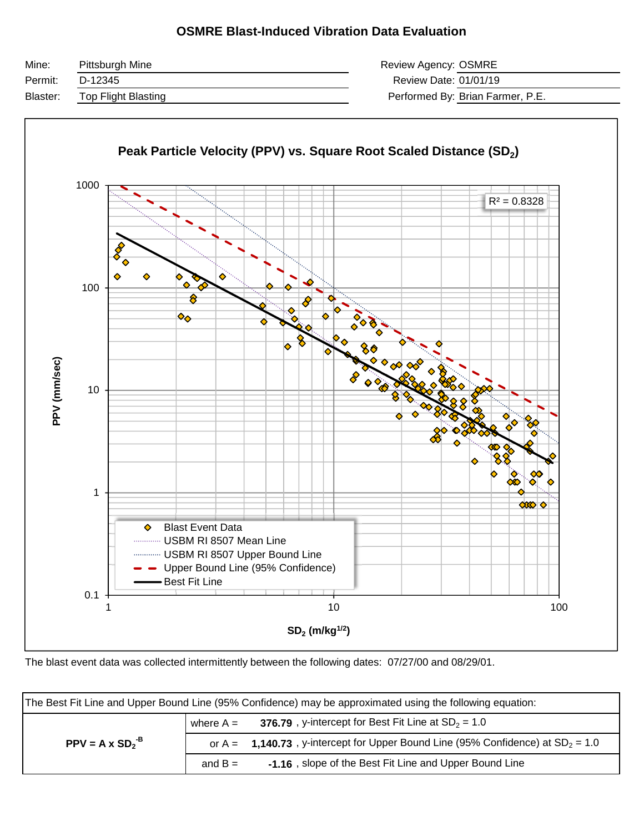### **OSMRE Blast-Induced Vibration Data Evaluation**

| Mine:    | Pittsburgh Mine     | Review Agency: OSMRE             |  |
|----------|---------------------|----------------------------------|--|
| Permit:  | D-12345             | Review Date: 01/01/19            |  |
| Blaster: | Top Flight Blasting | Performed By: Brian Farmer, P.E. |  |



The blast event data was collected intermittently between the following dates: 07/27/00 and 08/29/01.

| The Best Fit Line and Upper Bound Line (95% Confidence) may be approximated using the following equation: |             |                                                                                      |  |  |  |  |  |
|-----------------------------------------------------------------------------------------------------------|-------------|--------------------------------------------------------------------------------------|--|--|--|--|--|
|                                                                                                           | where $A =$ | 376.79, y-intercept for Best Fit Line at $SD_2 = 1.0$                                |  |  |  |  |  |
| $PPV = A \times SD2-B$                                                                                    |             | or $A =$ 1,140.73, y-intercept for Upper Bound Line (95% Confidence) at $SD_2 = 1.0$ |  |  |  |  |  |
|                                                                                                           | and $B =$   | -1.16, slope of the Best Fit Line and Upper Bound Line                               |  |  |  |  |  |